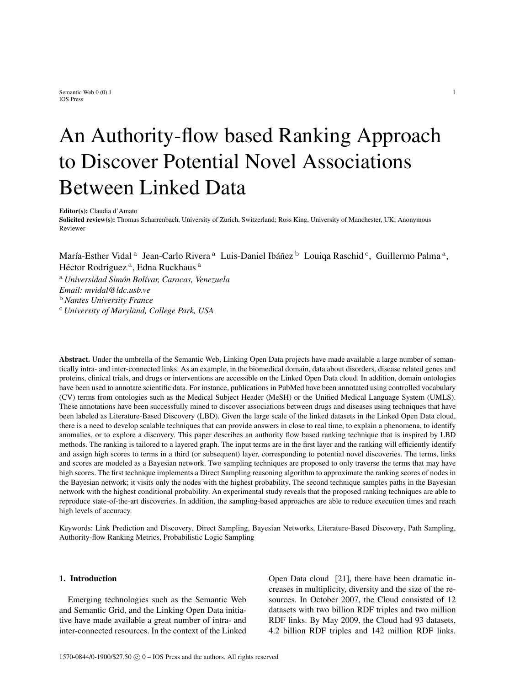Semantic Web  $0(0)$  1 1 IOS Press

# An Authority-flow based Ranking Approach to Discover Potential Novel Associations Between Linked Data

Editor(s): Claudia d'Amato

Solicited review(s): Thomas Scharrenbach, University of Zurich, Switzerland; Ross King, University of Manchester, UK; Anonymous Reviewer

María-Esther Vidal<sup>a</sup> Jean-Carlo Rivera<sup>a</sup> Luis-Daniel Ibáñez <sup>b</sup> Louiqa Raschid<sup>c</sup>, Guillermo Palma<sup>a</sup>, Héctor Rodriguez<sup>a</sup>, Edna Ruckhaus<sup>a</sup>

<sup>a</sup> *Universidad Simón Bolívar, Caracas, Venezuela Email: mvidal@ldc.usb.ve* <sup>b</sup> *Nantes University France* <sup>c</sup> *University of Maryland, College Park, USA*

Abstract. Under the umbrella of the Semantic Web, Linking Open Data projects have made available a large number of semantically intra- and inter-connected links. As an example, in the biomedical domain, data about disorders, disease related genes and proteins, clinical trials, and drugs or interventions are accessible on the Linked Open Data cloud. In addition, domain ontologies have been used to annotate scientific data. For instance, publications in PubMed have been annotated using controlled vocabulary (CV) terms from ontologies such as the Medical Subject Header (MeSH) or the Unified Medical Language System (UMLS). These annotations have been successfully mined to discover associations between drugs and diseases using techniques that have been labeled as Literature-Based Discovery (LBD). Given the large scale of the linked datasets in the Linked Open Data cloud, there is a need to develop scalable techniques that can provide answers in close to real time, to explain a phenomena, to identify anomalies, or to explore a discovery. This paper describes an authority flow based ranking technique that is inspired by LBD methods. The ranking is tailored to a layered graph. The input terms are in the first layer and the ranking will efficiently identify and assign high scores to terms in a third (or subsequent) layer, corresponding to potential novel discoveries. The terms, links and scores are modeled as a Bayesian network. Two sampling techniques are proposed to only traverse the terms that may have high scores. The first technique implements a Direct Sampling reasoning algorithm to approximate the ranking scores of nodes in the Bayesian network; it visits only the nodes with the highest probability. The second technique samples paths in the Bayesian network with the highest conditional probability. An experimental study reveals that the proposed ranking techniques are able to reproduce state-of-the-art discoveries. In addition, the sampling-based approaches are able to reduce execution times and reach high levels of accuracy.

Keywords: Link Prediction and Discovery, Direct Sampling, Bayesian Networks, Literature-Based Discovery, Path Sampling, Authority-flow Ranking Metrics, Probabilistic Logic Sampling

## 1. Introduction

Emerging technologies such as the Semantic Web and Semantic Grid, and the Linking Open Data initiative have made available a great number of intra- and inter-connected resources. In the context of the Linked Open Data cloud [21], there have been dramatic increases in multiplicity, diversity and the size of the resources. In October 2007, the Cloud consisted of 12 datasets with two billion RDF triples and two million RDF links. By May 2009, the Cloud had 93 datasets, 4.2 billion RDF triples and 142 million RDF links.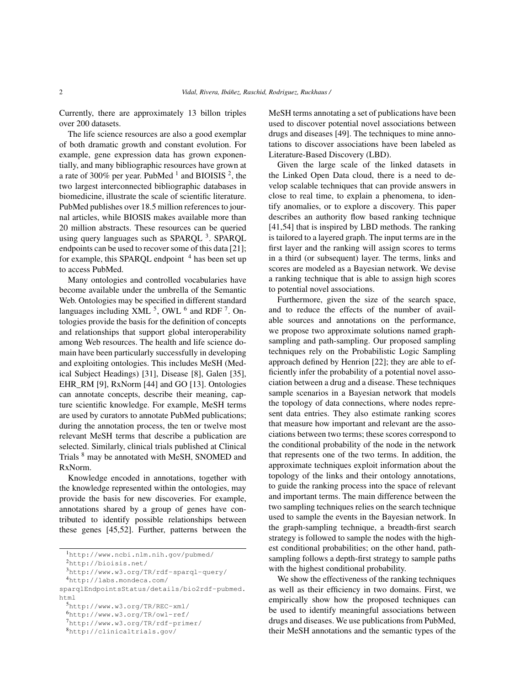Currently, there are approximately 13 billon triples over 200 datasets.

The life science resources are also a good exemplar of both dramatic growth and constant evolution. For example, gene expression data has grown exponentially, and many bibliographic resources have grown at a rate of 300% per year. PubMed  $^1$  and BIOISIS  $^2$ , the two largest interconnected bibliographic databases in biomedicine, illustrate the scale of scientific literature. PubMed publishes over 18.5 million references to journal articles, while BIOSIS makes available more than 20 million abstracts. These resources can be queried using query languages such as SPARQL<sup>3</sup>. SPARQL endpoints can be used to recover some of this data [21]; for example, this SPARQL endpoint  $4$  has been set up to access PubMed.

Many ontologies and controlled vocabularies have become available under the umbrella of the Semantic Web. Ontologies may be specified in different standard languages including XML  $<sup>5</sup>$ , OWL  $<sup>6</sup>$  and RDF  $<sup>7</sup>$ . On-</sup></sup></sup> tologies provide the basis for the definition of concepts and relationships that support global interoperability among Web resources. The health and life science domain have been particularly successfully in developing and exploiting ontologies. This includes MeSH (Medical Subject Headings) [31], Disease [8], Galen [35], EHR\_RM [9], RxNorm [44] and GO [13]. Ontologies can annotate concepts, describe their meaning, capture scientific knowledge. For example, MeSH terms are used by curators to annotate PubMed publications; during the annotation process, the ten or twelve most relevant MeSH terms that describe a publication are selected. Similarly, clinical trials published at Clinical Trials <sup>8</sup> may be annotated with MeSH, SNOMED and RxNorm.

Knowledge encoded in annotations, together with the knowledge represented within the ontologies, may provide the basis for new discoveries. For example, annotations shared by a group of genes have contributed to identify possible relationships between these genes [45,52]. Further, patterns between the MeSH terms annotating a set of publications have been used to discover potential novel associations between drugs and diseases [49]. The techniques to mine annotations to discover associations have been labeled as Literature-Based Discovery (LBD).

Given the large scale of the linked datasets in the Linked Open Data cloud, there is a need to develop scalable techniques that can provide answers in close to real time, to explain a phenomena, to identify anomalies, or to explore a discovery. This paper describes an authority flow based ranking technique [41,54] that is inspired by LBD methods. The ranking is tailored to a layered graph. The input terms are in the first layer and the ranking will assign scores to terms in a third (or subsequent) layer. The terms, links and scores are modeled as a Bayesian network. We devise a ranking technique that is able to assign high scores to potential novel associations.

Furthermore, given the size of the search space, and to reduce the effects of the number of available sources and annotations on the performance, we propose two approximate solutions named graphsampling and path-sampling. Our proposed sampling techniques rely on the Probabilistic Logic Sampling approach defined by Henrion [22]; they are able to efficiently infer the probability of a potential novel association between a drug and a disease. These techniques sample scenarios in a Bayesian network that models the topology of data connections, where nodes represent data entries. They also estimate ranking scores that measure how important and relevant are the associations between two terms; these scores correspond to the conditional probability of the node in the network that represents one of the two terms. In addition, the approximate techniques exploit information about the topology of the links and their ontology annotations, to guide the ranking process into the space of relevant and important terms. The main difference between the two sampling techniques relies on the search technique used to sample the events in the Bayesian network. In the graph-sampling technique, a breadth-first search strategy is followed to sample the nodes with the highest conditional probabilities; on the other hand, pathsampling follows a depth-first strategy to sample paths with the highest conditional probability.

We show the effectiveness of the ranking techniques as well as their efficiency in two domains. First, we empirically show how the proposed techniques can be used to identify meaningful associations between drugs and diseases. We use publications from PubMed, their MeSH annotations and the semantic types of the

<sup>1</sup>http://www.ncbi.nlm.nih.gov/pubmed/

<sup>2</sup>http://bioisis.net/

<sup>3</sup>http://www.w3.org/TR/rdf-sparql-query/

<sup>4</sup>http://labs.mondeca.com/

sparqlEndpointsStatus/details/bio2rdf-pubmed. html

<sup>5</sup>http://www.w3.org/TR/REC-xml/

<sup>6</sup>http://www.w3.org/TR/owl-ref/

<sup>7</sup>http://www.w3.org/TR/rdf-primer/

<sup>8</sup>http://clinicaltrials.gov/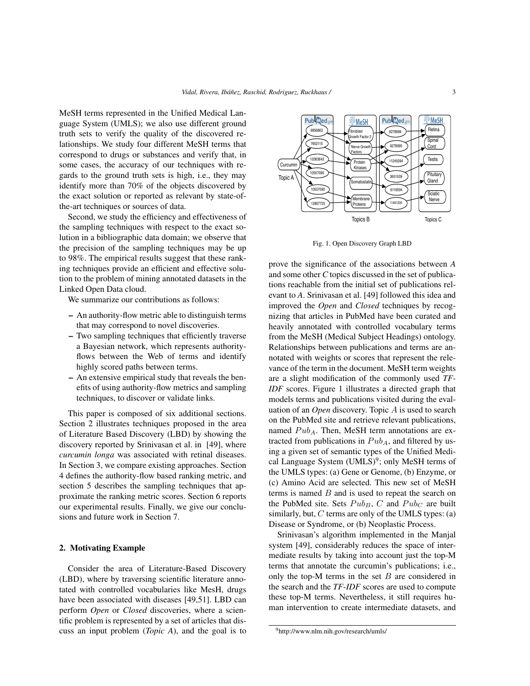MeSH terms represented in the Unified Medical Language System (UMLS); we also use different ground truth sets to verify the quality of the discovered relationships. We study four different MeSH terms that correspond to drugs or substances and verify that, in some cases, the accuracy of our techniques with regards to the ground truth sets is high, i.e., they may identify more than 70% of the objects discovered by the exact solution or reported as relevant by state-ofthe-art techniques or sources of data.

Second, we study the efficiency and effectiveness of the sampling techniques with respect to the exact solution in a bibliographic data domain; we observe that the precision of the sampling techniques may be up to 98%. The empirical results suggest that these ranking techniques provide an efficient and effective solution to the problem of mining annotated datasets in the Linked Open Data cloud.

We summarize our contributions as follows:

- An authority-flow metric able to distinguish terms that may correspond to novel discoveries.
- Two sampling techniques that efficiently traverse a Bayesian network, which represents authorityflows between the Web of terms and identify highly scored paths between terms.
- An extensive empirical study that reveals the benefits of using authority-flow metrics and sampling techniques, to discover or validate links.

This paper is composed of six additional sections. Section 2 illustrates techniques proposed in the area of Literature Based Discovery (LBD) by showing the discovery reported by Srinivasan et al. in [49], where *curcumin longa* was associated with retinal diseases. In Section 3, we compare existing approaches. Section 4 defines the authority-flow based ranking metric, and section 5 describes the sampling techniques that approximate the ranking metric scores. Section 6 reports our experimental results. Finally, we give our conclusions and future work in Section 7.

## 2. Motivating Example

Consider the area of Literature-Based Discovery (LBD), where by traversing scientific literature annotated with controlled vocabularies like MesH, drugs have been associated with diseases [49,51]. LBD can perform *Open* or *Closed* discoveries, where a scientific problem is represented by a set of articles that discuss an input problem (*Topic A*), and the goal is to



Fig. 1. Open Discovery Graph LBD

prove the significance of the associations between *A* and some other *C* topics discussed in the set of publications reachable from the initial set of publications relevant to *A*. Srinivasan et al. [49] followed this idea and improved the *Open* and *Closed* techniques by recognizing that articles in PubMed have been curated and heavily annotated with controlled vocabulary terms from the MeSH (Medical Subject Headings) ontology. Relationships between publications and terms are annotated with weights or scores that represent the relevance of the term in the document. MeSH term weights are a slight modification of the commonly used *TF-IDF* scores. Figure 1 illustrates a directed graph that models terms and publications visited during the evaluation of an *Open* discovery. Topic A is used to search on the PubMed site and retrieve relevant publications, named  $Pub<sub>A</sub>$ . Then, MeSH term annotations are extracted from publications in  $Pub<sub>A</sub>$ , and filtered by using a given set of semantic types of the Unified Medical Language System (UMLS)<sup>9</sup>; only MeSH terms of the UMLS types: (a) Gene or Genome, (b) Enzyme, or (c) Amino Acid are selected. This new set of MeSH terms is named  $B$  and is used to repeat the search on the PubMed site. Sets  $Pub_B$ ,  $C$  and  $Pub_C$  are built similarly, but,  $C$  terms are only of the UMLS types: (a) Disease or Syndrome, or (b) Neoplastic Process.

Srinivasan's algorithm implemented in the Manjal system [49], considerably reduces the space of intermediate results by taking into account just the top-M terms that annotate the curcumin's publications; i.e., only the top-M terms in the set  $B$  are considered in the search and the *TF-IDF* scores are used to compute these top-M terms. Nevertheless, it still requires human intervention to create intermediate datasets, and

<sup>9</sup>http://www.nlm.nih.gov/research/umls/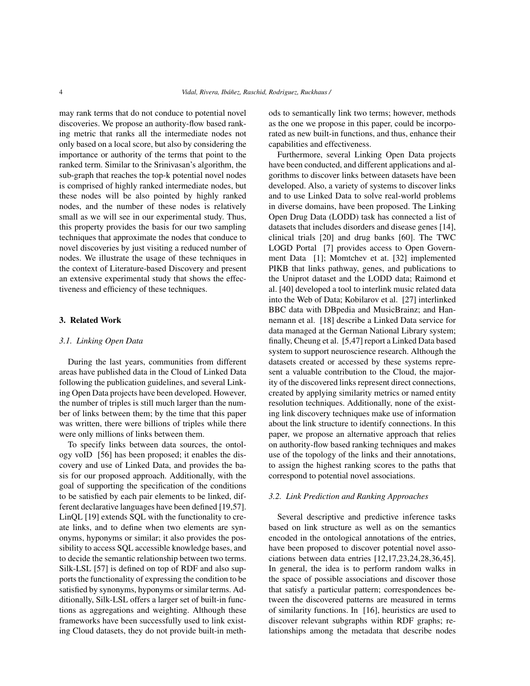may rank terms that do not conduce to potential novel discoveries. We propose an authority-flow based ranking metric that ranks all the intermediate nodes not only based on a local score, but also by considering the importance or authority of the terms that point to the ranked term. Similar to the Srinivasan's algorithm, the sub-graph that reaches the top-k potential novel nodes is comprised of highly ranked intermediate nodes, but these nodes will be also pointed by highly ranked nodes, and the number of these nodes is relatively small as we will see in our experimental study. Thus, this property provides the basis for our two sampling techniques that approximate the nodes that conduce to novel discoveries by just visiting a reduced number of nodes. We illustrate the usage of these techniques in the context of Literature-based Discovery and present an extensive experimental study that shows the effectiveness and efficiency of these techniques.

## 3. Related Work

## *3.1. Linking Open Data*

During the last years, communities from different areas have published data in the Cloud of Linked Data following the publication guidelines, and several Linking Open Data projects have been developed. However, the number of triples is still much larger than the number of links between them; by the time that this paper was written, there were billions of triples while there were only millions of links between them.

To specify links between data sources, the ontology voID [56] has been proposed; it enables the discovery and use of Linked Data, and provides the basis for our proposed approach. Additionally, with the goal of supporting the specification of the conditions to be satisfied by each pair elements to be linked, different declarative languages have been defined [19,57]. LinQL [19] extends SQL with the functionality to create links, and to define when two elements are synonyms, hyponyms or similar; it also provides the possibility to access SQL accessible knowledge bases, and to decide the semantic relationship between two terms. Silk-LSL [57] is defined on top of RDF and also supports the functionality of expressing the condition to be satisfied by synonyms, hyponyms or similar terms. Additionally, Silk-LSL offers a larger set of built-in functions as aggregations and weighting. Although these frameworks have been successfully used to link existing Cloud datasets, they do not provide built-in methods to semantically link two terms; however, methods as the one we propose in this paper, could be incorporated as new built-in functions, and thus, enhance their capabilities and effectiveness.

Furthermore, several Linking Open Data projects have been conducted, and different applications and algorithms to discover links between datasets have been developed. Also, a variety of systems to discover links and to use Linked Data to solve real-world problems in diverse domains, have been proposed. The Linking Open Drug Data (LODD) task has connected a list of datasets that includes disorders and disease genes [14], clinical trials [20] and drug banks [60]. The TWC LOGD Portal [7] provides access to Open Government Data [1]; Momtchev et at. [32] implemented PIKB that links pathway, genes, and publications to the Uniprot dataset and the LODD data; Raimond et al. [40] developed a tool to interlink music related data into the Web of Data; Kobilarov et al. [27] interlinked BBC data with DBpedia and MusicBrainz; and Hannemann et al. [18] describe a Linked Data service for data managed at the German National Library system; finally, Cheung et al. [5,47] report a Linked Data based system to support neuroscience research. Although the datasets created or accessed by these systems represent a valuable contribution to the Cloud, the majority of the discovered links represent direct connections, created by applying similarity metrics or named entity resolution techniques. Additionally, none of the existing link discovery techniques make use of information about the link structure to identify connections. In this paper, we propose an alternative approach that relies on authority-flow based ranking techniques and makes use of the topology of the links and their annotations, to assign the highest ranking scores to the paths that correspond to potential novel associations.

#### *3.2. Link Prediction and Ranking Approaches*

Several descriptive and predictive inference tasks based on link structure as well as on the semantics encoded in the ontological annotations of the entries, have been proposed to discover potential novel associations between data entries [12,17,23,24,28,36,45]. In general, the idea is to perform random walks in the space of possible associations and discover those that satisfy a particular pattern; correspondences between the discovered patterns are measured in terms of similarity functions. In [16], heuristics are used to discover relevant subgraphs within RDF graphs; relationships among the metadata that describe nodes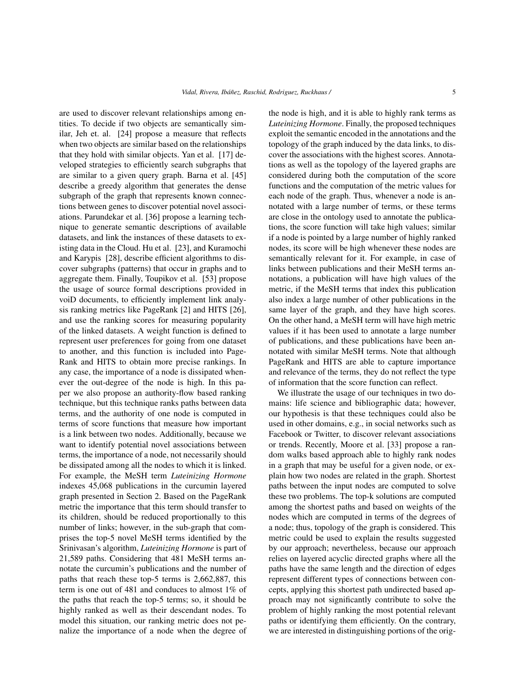are used to discover relevant relationships among entities. To decide if two objects are semantically similar, Jeh et. al. [24] propose a measure that reflects when two objects are similar based on the relationships that they hold with similar objects. Yan et al. [17] developed strategies to efficiently search subgraphs that are similar to a given query graph. Barna et al. [45] describe a greedy algorithm that generates the dense subgraph of the graph that represents known connections between genes to discover potential novel associations. Parundekar et al. [36] propose a learning technique to generate semantic descriptions of available datasets, and link the instances of these datasets to existing data in the Cloud. Hu et al. [23], and Kuramochi and Karypis [28], describe efficient algorithms to discover subgraphs (patterns) that occur in graphs and to aggregate them. Finally, Toupikov et al. [53] propose the usage of source formal descriptions provided in voiD documents, to efficiently implement link analysis ranking metrics like PageRank [2] and HITS [26], and use the ranking scores for measuring popularity of the linked datasets. A weight function is defined to represent user preferences for going from one dataset to another, and this function is included into Page-Rank and HITS to obtain more precise rankings. In any case, the importance of a node is dissipated whenever the out-degree of the node is high. In this paper we also propose an authority-flow based ranking technique, but this technique ranks paths between data terms, and the authority of one node is computed in terms of score functions that measure how important is a link between two nodes. Additionally, because we want to identify potential novel associations between terms, the importance of a node, not necessarily should be dissipated among all the nodes to which it is linked. For example, the MeSH term *Luteinizing Hormone* indexes 45,068 publications in the curcumin layered graph presented in Section 2. Based on the PageRank metric the importance that this term should transfer to its children, should be reduced proportionally to this number of links; however, in the sub-graph that comprises the top-5 novel MeSH terms identified by the Srinivasan's algorithm, *Luteinizing Hormone* is part of 21,589 paths. Considering that 481 MeSH terms annotate the curcumin's publications and the number of paths that reach these top-5 terms is 2,662,887, this term is one out of 481 and conduces to almost 1% of the paths that reach the top-5 terms; so, it should be highly ranked as well as their descendant nodes. To model this situation, our ranking metric does not penalize the importance of a node when the degree of the node is high, and it is able to highly rank terms as *Luteinizing Hormone*. Finally, the proposed techniques exploit the semantic encoded in the annotations and the topology of the graph induced by the data links, to discover the associations with the highest scores. Annotations as well as the topology of the layered graphs are considered during both the computation of the score functions and the computation of the metric values for each node of the graph. Thus, whenever a node is annotated with a large number of terms, or these terms are close in the ontology used to annotate the publications, the score function will take high values; similar if a node is pointed by a large number of highly ranked nodes, its score will be high whenever these nodes are semantically relevant for it. For example, in case of links between publications and their MeSH terms annotations, a publication will have high values of the metric, if the MeSH terms that index this publication also index a large number of other publications in the same layer of the graph, and they have high scores. On the other hand, a MeSH term will have high metric values if it has been used to annotate a large number of publications, and these publications have been annotated with similar MeSH terms. Note that although PageRank and HITS are able to capture importance and relevance of the terms, they do not reflect the type of information that the score function can reflect.

We illustrate the usage of our techniques in two domains: life science and bibliographic data; however, our hypothesis is that these techniques could also be used in other domains, e.g., in social networks such as Facebook or Twitter, to discover relevant associations or trends. Recently, Moore et al. [33] propose a random walks based approach able to highly rank nodes in a graph that may be useful for a given node, or explain how two nodes are related in the graph. Shortest paths between the input nodes are computed to solve these two problems. The top-k solutions are computed among the shortest paths and based on weights of the nodes which are computed in terms of the degrees of a node; thus, topology of the graph is considered. This metric could be used to explain the results suggested by our approach; nevertheless, because our approach relies on layered acyclic directed graphs where all the paths have the same length and the direction of edges represent different types of connections between concepts, applying this shortest path undirected based approach may not significantly contribute to solve the problem of highly ranking the most potential relevant paths or identifying them efficiently. On the contrary, we are interested in distinguishing portions of the orig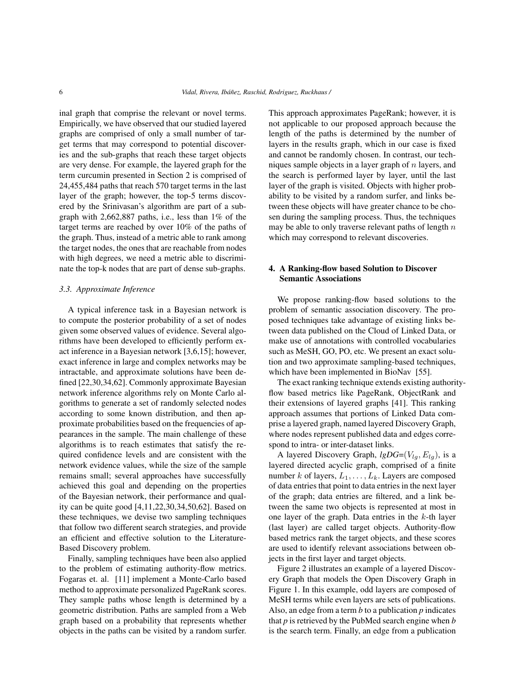inal graph that comprise the relevant or novel terms. Empirically, we have observed that our studied layered graphs are comprised of only a small number of target terms that may correspond to potential discoveries and the sub-graphs that reach these target objects are very dense. For example, the layered graph for the term curcumin presented in Section 2 is comprised of 24,455,484 paths that reach 570 target terms in the last layer of the graph; however, the top-5 terms discovered by the Srinivasan's algorithm are part of a subgraph with 2,662,887 paths, i.e., less than 1% of the target terms are reached by over 10% of the paths of the graph. Thus, instead of a metric able to rank among the target nodes, the ones that are reachable from nodes with high degrees, we need a metric able to discriminate the top-k nodes that are part of dense sub-graphs.

## *3.3. Approximate Inference*

A typical inference task in a Bayesian network is to compute the posterior probability of a set of nodes given some observed values of evidence. Several algorithms have been developed to efficiently perform exact inference in a Bayesian network [3,6,15]; however, exact inference in large and complex networks may be intractable, and approximate solutions have been defined [22,30,34,62]. Commonly approximate Bayesian network inference algorithms rely on Monte Carlo algorithms to generate a set of randomly selected nodes according to some known distribution, and then approximate probabilities based on the frequencies of appearances in the sample. The main challenge of these algorithms is to reach estimates that satisfy the required confidence levels and are consistent with the network evidence values, while the size of the sample remains small; several approaches have successfully achieved this goal and depending on the properties of the Bayesian network, their performance and quality can be quite good [4,11,22,30,34,50,62]. Based on these techniques, we devise two sampling techniques that follow two different search strategies, and provide an efficient and effective solution to the Literature-Based Discovery problem.

Finally, sampling techniques have been also applied to the problem of estimating authority-flow metrics. Fogaras et. al. [11] implement a Monte-Carlo based method to approximate personalized PageRank scores. They sample paths whose length is determined by a geometric distribution. Paths are sampled from a Web graph based on a probability that represents whether objects in the paths can be visited by a random surfer. This approach approximates PageRank; however, it is not applicable to our proposed approach because the length of the paths is determined by the number of layers in the results graph, which in our case is fixed and cannot be randomly chosen. In contrast, our techniques sample objects in a layer graph of  $n$  layers, and the search is performed layer by layer, until the last layer of the graph is visited. Objects with higher probability to be visited by a random surfer, and links between these objects will have greater chance to be chosen during the sampling process. Thus, the techniques may be able to only traverse relevant paths of length  $n$ which may correspond to relevant discoveries.

## 4. A Ranking-flow based Solution to Discover Semantic Associations

We propose ranking-flow based solutions to the problem of semantic association discovery. The proposed techniques take advantage of existing links between data published on the Cloud of Linked Data, or make use of annotations with controlled vocabularies such as MeSH, GO, PO, etc. We present an exact solution and two approximate sampling-based techniques, which have been implemented in BioNav [55].

The exact ranking technique extends existing authorityflow based metrics like PageRank, ObjectRank and their extensions of layered graphs [41]. This ranking approach assumes that portions of Linked Data comprise a layered graph, named layered Discovery Graph, where nodes represent published data and edges correspond to intra- or inter-dataset links.

A layered Discovery Graph,  $lgDG=(V_{lg}, E_{lg})$ , is a layered directed acyclic graph, comprised of a finite number k of layers,  $L_1, \ldots, L_k$ . Layers are composed of data entries that point to data entries in the next layer of the graph; data entries are filtered, and a link between the same two objects is represented at most in one layer of the graph. Data entries in the  $k$ -th layer (last layer) are called target objects. Authority-flow based metrics rank the target objects, and these scores are used to identify relevant associations between objects in the first layer and target objects.

Figure 2 illustrates an example of a layered Discovery Graph that models the Open Discovery Graph in Figure 1. In this example, odd layers are composed of MeSH terms while even layers are sets of publications. Also, an edge from a term *b* to a publication *p* indicates that *p* is retrieved by the PubMed search engine when *b* is the search term. Finally, an edge from a publication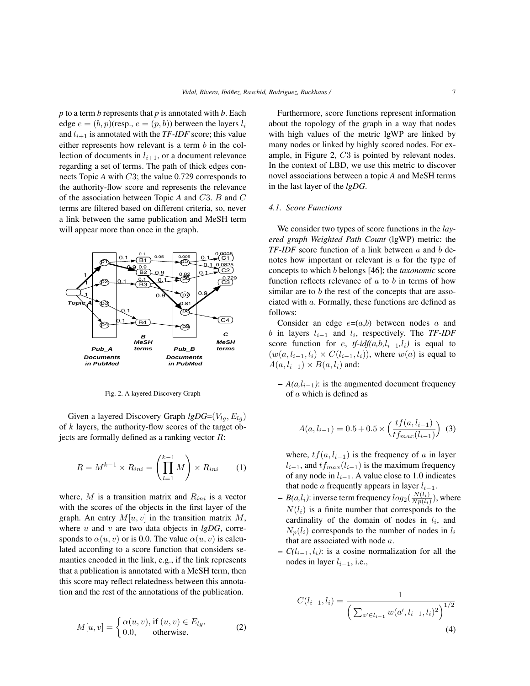*p* to a term *b* represents that *p* is annotated with *b*. Each edge  $e = (b, p)$ (resp.,  $e = (p, b)$ ) between the layers  $l_i$ and  $l_{i+1}$  is annotated with the *TF-IDF* score; this value either represents how relevant is a term b in the collection of documents in  $l_{i+1}$ , or a document relevance regarding a set of terms. The path of thick edges connects Topic *A* with C3; the value 0.729 corresponds to the authority-flow score and represents the relevance of the association between Topic *A* and C3. B and C terms are filtered based on different criteria, so, never a link between the same publication and MeSH term will appear more than once in the graph.



Fig. 2. A layered Discovery Graph

Given a layered Discovery Graph  $lgDG=(V_{la}, E_{la})$ of k layers, the authority-flow scores of the target objects are formally defined as a ranking vector  $R$ :

$$
R = M^{k-1} \times R_{ini} = \left(\prod_{l=1}^{k-1} M\right) \times R_{ini} \qquad (1)
$$

where,  $M$  is a transition matrix and  $R_{ini}$  is a vector with the scores of the objects in the first layer of the graph. An entry  $M[u, v]$  in the transition matrix M, where  $u$  and  $v$  are two data objects in  $lgDG$ , corresponds to  $\alpha(u, v)$  or is 0.0. The value  $\alpha(u, v)$  is calculated according to a score function that considers semantics encoded in the link, e.g., if the link represents that a publication is annotated with a MeSH term, then this score may reflect relatedness between this annotation and the rest of the annotations of the publication.

$$
M[u, v] = \begin{cases} \alpha(u, v), \text{ if } (u, v) \in E_{lg}, \\ 0.0, \text{ otherwise.} \end{cases}
$$
 (2)

Furthermore, score functions represent information about the topology of the graph in a way that nodes with high values of the metric lgWP are linked by many nodes or linked by highly scored nodes. For example, in Figure 2, C3 is pointed by relevant nodes. In the context of LBD, we use this metric to discover novel associations between a topic *A* and MeSH terms in the last layer of the *lgDG*.

#### *4.1. Score Functions*

We consider two types of score functions in the *layered graph Weighted Path Count* (lgWP) metric: the *TF-IDF* score function of a link between a and b denotes how important or relevant is a for the type of concepts to which b belongs [46]; the *taxonomic* score function reflects relevance of  $a$  to  $b$  in terms of how similar are to b the rest of the concepts that are associated with a. Formally, these functions are defined as follows:

Consider an edge  $e=(a,b)$  between nodes a and  $b$  in layers  $l_{i-1}$  and  $l_i$ , respectively. The *TF-IDF* score function for e,  $tf$ -idf(a,b,l<sub>i-1</sub>,l<sub>i</sub>) is equal to  $(w(a, l_{i-1}, l_i) \times C(l_{i-1}, l_i))$ , where  $w(a)$  is equal to  $A(a, l_{i-1}) \times B(a, l_i)$  and:

 $-A(a, l_{i-1})$ : is the augmented document frequency of a which is defined as

$$
A(a, l_{i-1}) = 0.5 + 0.5 \times \left(\frac{tf(a, l_{i-1})}{tf_{max}(l_{i-1})}\right)
$$
 (3)

where,  $tf(a, l_{i-1})$  is the frequency of a in layer  $l_{i-1}$ , and  $tf_{max}(l_{i-1})$  is the maximum frequency of any node in  $l_{i-1}$ . A value close to 1.0 indicates that node *a* frequently appears in layer  $l_{i-1}$ .

- $B(a, l_i)$ : inverse term frequency  $log_2(\frac{N(l_i)}{Np(l_i)})$  $\frac{N(l_i)}{Np(l_i)}$ ), where  $N(l<sub>i</sub>)$  is a finite number that corresponds to the cardinality of the domain of nodes in  $l_i$ , and  $N_p(l_i)$  corresponds to the number of nodes in  $l_i$ that are associated with node a.
- $C(l_{i-1}, l_i)$ : is a cosine normalization for all the nodes in layer  $l_{i-1}$ , i.e.,

$$
C(l_{i-1}, l_i) = \frac{1}{\left(\sum_{a' \in l_{i-1}} w(a', l_{i-1}, l_i)^2\right)^{1/2}}
$$
\n(4)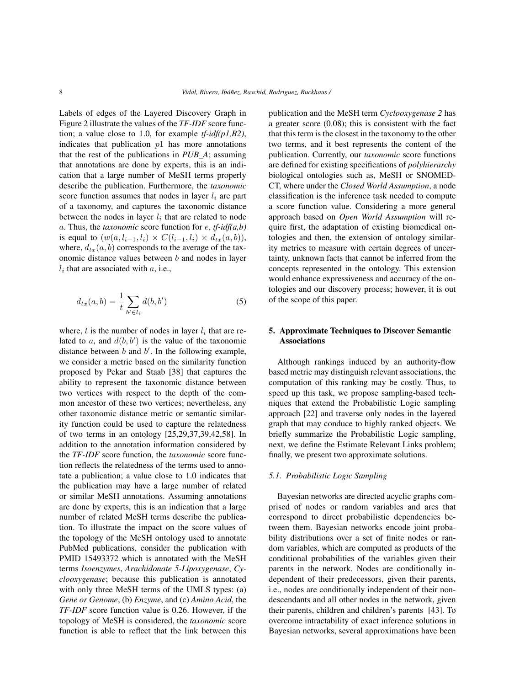Labels of edges of the Layered Discovery Graph in Figure 2 illustrate the values of the *TF-IDF* score function; a value close to 1.0, for example *tf-idf(p1,B2)*, indicates that publication  $p1$  has more annotations that the rest of the publications in *PUB\_A*; assuming that annotations are done by experts, this is an indication that a large number of MeSH terms properly describe the publication. Furthermore, the *taxonomic* score function assumes that nodes in layer  $l_i$  are part of a taxonomy, and captures the taxonomic distance between the nodes in layer  $l_i$  that are related to node a. Thus, the *taxonomic* score function for e, *tf-idf(a,b)* is equal to  $(w(a, l_{i-1}, l_i) \times C(l_{i-1}, l_i) \times d_{tx}(a, b)),$ where,  $d_{tx}(a, b)$  corresponds to the average of the taxonomic distance values between b and nodes in layer  $l_i$  that are associated with  $a$ , i.e.,

$$
d_{tx}(a,b) = \frac{1}{t} \sum_{b' \in l_i} d(b,b')
$$
 (5)

where,  $t$  is the number of nodes in layer  $l_i$  that are related to a, and  $d(b, b')$  is the value of the taxonomic distance between  $b$  and  $b'$ . In the following example, we consider a metric based on the similarity function proposed by Pekar and Staab [38] that captures the ability to represent the taxonomic distance between two vertices with respect to the depth of the common ancestor of these two vertices; nevertheless, any other taxonomic distance metric or semantic similarity function could be used to capture the relatedness of two terms in an ontology [25,29,37,39,42,58]. In addition to the annotation information considered by the *TF-IDF* score function, the *taxonomic* score function reflects the relatedness of the terms used to annotate a publication; a value close to 1.0 indicates that the publication may have a large number of related or similar MeSH annotations. Assuming annotations are done by experts, this is an indication that a large number of related MeSH terms describe the publication. To illustrate the impact on the score values of the topology of the MeSH ontology used to annotate PubMed publications, consider the publication with PMID 15493372 which is annotated with the MeSH terms *Isoenzymes*, *Arachidonate 5-Lipoxygenase*, *Cyclooxygenase*; because this publication is annotated with only three MeSH terms of the UMLS types: (a) *Gene or Genome*, (b) *Enzyme*, and (c) *Amino Acid*, the *TF-IDF* score function value is 0.26. However, if the topology of MeSH is considered, the *taxonomic* score function is able to reflect that the link between this publication and the MeSH term *Cyclooxygenase 2* has a greater score (0.08); this is consistent with the fact that this term is the closest in the taxonomy to the other two terms, and it best represents the content of the publication. Currently, our *taxonomic* score functions are defined for existing specifications of *polyhierarchy* biological ontologies such as, MeSH or SNOMED-CT, where under the *Closed World Assumption*, a node classification is the inference task needed to compute a score function value. Considering a more general approach based on *Open World Assumption* will require first, the adaptation of existing biomedical ontologies and then, the extension of ontology similarity metrics to measure with certain degrees of uncertainty, unknown facts that cannot be inferred from the concepts represented in the ontology. This extension would enhance expressiveness and accuracy of the ontologies and our discovery process; however, it is out of the scope of this paper.

## 5. Approximate Techniques to Discover Semantic Associations

Although rankings induced by an authority-flow based metric may distinguish relevant associations, the computation of this ranking may be costly. Thus, to speed up this task, we propose sampling-based techniques that extend the Probabilistic Logic sampling approach [22] and traverse only nodes in the layered graph that may conduce to highly ranked objects. We briefly summarize the Probabilistic Logic sampling, next, we define the Estimate Relevant Links problem; finally, we present two approximate solutions.

#### *5.1. Probabilistic Logic Sampling*

Bayesian networks are directed acyclic graphs comprised of nodes or random variables and arcs that correspond to direct probabilistic dependencies between them. Bayesian networks encode joint probability distributions over a set of finite nodes or random variables, which are computed as products of the conditional probabilities of the variables given their parents in the network. Nodes are conditionally independent of their predecessors, given their parents, i.e., nodes are conditionally independent of their nondescendants and all other nodes in the network, given their parents, children and children's parents [43]. To overcome intractability of exact inference solutions in Bayesian networks, several approximations have been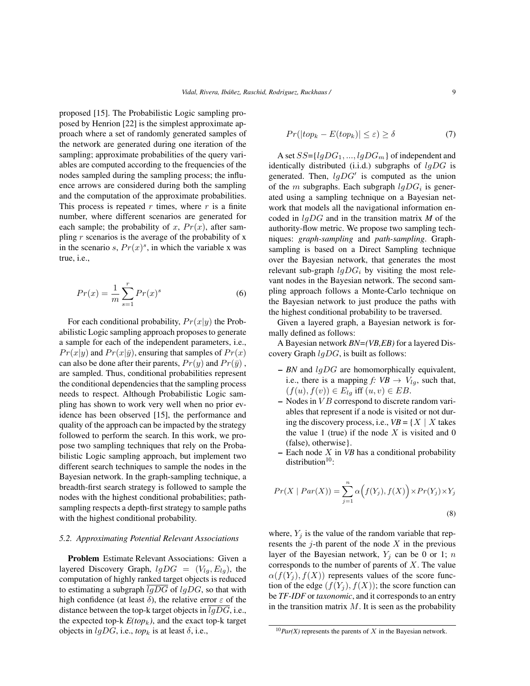proposed [15]. The Probabilistic Logic sampling proposed by Henrion [22] is the simplest approximate approach where a set of randomly generated samples of the network are generated during one iteration of the sampling; approximate probabilities of the query variables are computed according to the frequencies of the nodes sampled during the sampling process; the influence arrows are considered during both the sampling and the computation of the approximate probabilities. This process is repeated  $r$  times, where  $r$  is a finite number, where different scenarios are generated for each sample; the probability of x,  $Pr(x)$ , after sampling  $r$  scenarios is the average of the probability of  $x$ in the scenario s,  $Pr(x)^s$ , in which the variable x was true, i.e.,

$$
Pr(x) = \frac{1}{m} \sum_{s=1}^{r} Pr(x)^s
$$
 (6)

For each conditional probability,  $Pr(x|y)$  the Probabilistic Logic sampling approach proposes to generate a sample for each of the independent parameters, i.e.,  $Pr(x|y)$  and  $Pr(x|\bar{y})$ , ensuring that samples of  $Pr(x)$ can also be done after their parents,  $Pr(y)$  and  $Pr(\bar{y})$ , are sampled. Thus, conditional probabilities represent the conditional dependencies that the sampling process needs to respect. Although Probabilistic Logic sampling has shown to work very well when no prior evidence has been observed [15], the performance and quality of the approach can be impacted by the strategy followed to perform the search. In this work, we propose two sampling techniques that rely on the Probabilistic Logic sampling approach, but implement two different search techniques to sample the nodes in the Bayesian network. In the graph-sampling technique, a breadth-first search strategy is followed to sample the nodes with the highest conditional probabilities; pathsampling respects a depth-first strategy to sample paths with the highest conditional probability.

## *5.2. Approximating Potential Relevant Associations*

Problem Estimate Relevant Associations: Given a layered Discovery Graph,  $lgDG = (V_{lg}, E_{lg})$ , the computation of highly ranked target objects is reduced to estimating a subgraph  $\overline{lgDG}$  of  $lgDG$ , so that with high confidence (at least  $\delta$ ), the relative error  $\varepsilon$  of the distance between the top-k target objects in  $lgDG$ , i.e., the expected top-k  $E(top_k)$ , and the exact top-k target objects in  $lgDG$ , i.e.,  $top_k$  is at least  $\delta$ , i.e.,

$$
Pr(|top_k - E(top_k)| \le \varepsilon) \ge \delta \tag{7}
$$

A set  $SS = \{lgDG_1, ..., lgDG_m\}$  of independent and identically distributed (i.i.d.) subgraphs of  $lgDG$  is generated. Then,  $lgDG'$  is computed as the union of the m subgraphs. Each subgraph  $lgDG_i$  is generated using a sampling technique on a Bayesian network that models all the navigational information encoded in lgDG and in the transition matrix *M* of the authority-flow metric. We propose two sampling techniques: *graph-sampling* and *path-sampling*. Graphsampling is based on a Direct Sampling technique over the Bayesian network, that generates the most relevant sub-graph  $lgDG_i$  by visiting the most relevant nodes in the Bayesian network. The second sampling approach follows a Monte-Carlo technique on the Bayesian network to just produce the paths with the highest conditional probability to be traversed.

Given a layered graph, a Bayesian network is formally defined as follows:

A Bayesian network *BN=(VB,EB)* for a layered Discovery Graph  $lqDG$ , is built as follows:

- *BN* and lgDG are homomorphically equivalent, i.e., there is a mapping *f*:  $VB \rightarrow V_{lg}$ , such that,  $(f(u), f(v)) \in E_{lq}$  iff  $(u, v) \in EB$ .
- $-$  Nodes in  $VB$  correspond to discrete random variables that represent if a node is visited or not during the discovery process, i.e.,  $VB = \{X \mid X \text{ takes }$ the value 1 (true) if the node  $X$  is visited and 0 (false), otherwise}.
- Each node X in *VB* has a conditional probability distribution $10$ :

$$
Pr(X \mid Par(X)) = \sum_{j=1}^{n} \alpha \Big(f(Y_j), f(X)\Big) \times Pr(Y_j) \times Y_j
$$
\n(8)

where,  $Y_i$  is the value of the random variable that represents the  $j$ -th parent of the node  $X$  in the previous layer of the Bayesian network,  $Y_i$  can be 0 or 1; n corresponds to the number of parents of  $X$ . The value  $\alpha(f(Y_i), f(X))$  represents values of the score function of the edge  $(f(Y_j), f(X))$ ; the score function can be *TF-IDF* or *taxonomic*, and it corresponds to an entry in the transition matrix  $M$ . It is seen as the probability

 $10$ *Par(X)* represents the parents of X in the Bayesian network.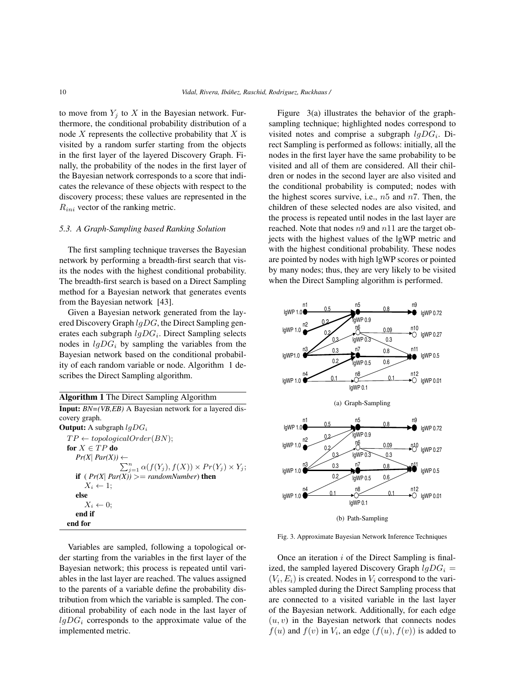to move from  $Y_j$  to X in the Bayesian network. Furthermore, the conditional probability distribution of a node  $X$  represents the collective probability that  $X$  is visited by a random surfer starting from the objects in the first layer of the layered Discovery Graph. Finally, the probability of the nodes in the first layer of the Bayesian network corresponds to a score that indicates the relevance of these objects with respect to the discovery process; these values are represented in the  $R_{ini}$  vector of the ranking metric.

## *5.3. A Graph-Sampling based Ranking Solution*

The first sampling technique traverses the Bayesian network by performing a breadth-first search that visits the nodes with the highest conditional probability. The breadth-first search is based on a Direct Sampling method for a Bayesian network that generates events from the Bayesian network [43].

Given a Bayesian network generated from the layered Discovery Graph  $lgDG$ , the Direct Sampling generates each subgraph  $lgDG_i$ . Direct Sampling selects nodes in  $lqDG_i$  by sampling the variables from the Bayesian network based on the conditional probability of each random variable or node. Algorithm 1 describes the Direct Sampling algorithm.

## Algorithm 1 The Direct Sampling Algorithm

Input: *BN=(VB,EB)* A Bayesian network for a layered discovery graph. **Output:** A subgraph  $lgDG_i$  $TP \leftarrow topologicalOrder(BN);$ for  $X \in TP$  do  $Pr(X|$   $Par(X)) \leftarrow$  $\sum_{j=1}^n \alpha(f(Y_j), f(X)) \times Pr(Y_j) \times Y_j;$ if  $(\Pr(X \mid Par(X))) >= randomNumber)$  then  $X_i \leftarrow 1;$ else  $X_i \leftarrow 0;$ end if end for

Figure 3(a) illustrates the behavior of the graphsampling technique; highlighted nodes correspond to visited notes and comprise a subgraph  $lgDG_i$ . Direct Sampling is performed as follows: initially, all the nodes in the first layer have the same probability to be visited and all of them are considered. All their children or nodes in the second layer are also visited and the conditional probability is computed; nodes with the highest scores survive, i.e.,  $n5$  and  $n7$ . Then, the children of these selected nodes are also visited, and the process is repeated until nodes in the last layer are reached. Note that nodes  $n9$  and  $n11$  are the target objects with the highest values of the lgWP metric and with the highest conditional probability. These nodes are pointed by nodes with high lgWP scores or pointed by many nodes; thus, they are very likely to be visited when the Direct Sampling algorithm is performed.



Fig. 3. Approximate Bayesian Network Inference Techniques

Variables are sampled, following a topological order starting from the variables in the first layer of the Bayesian network; this process is repeated until variables in the last layer are reached. The values assigned to the parents of a variable define the probability distribution from which the variable is sampled. The conditional probability of each node in the last layer of  $lgDG_i$  corresponds to the approximate value of the implemented metric.

Once an iteration  $i$  of the Direct Sampling is finalized, the sampled layered Discovery Graph  $lgDG_i$  =  $(V_i, E_i)$  is created. Nodes in  $V_i$  correspond to the variables sampled during the Direct Sampling process that are connected to a visited variable in the last layer of the Bayesian network. Additionally, for each edge  $(u, v)$  in the Bayesian network that connects nodes  $f(u)$  and  $f(v)$  in  $V_i$ , an edge  $(f(u), f(v))$  is added to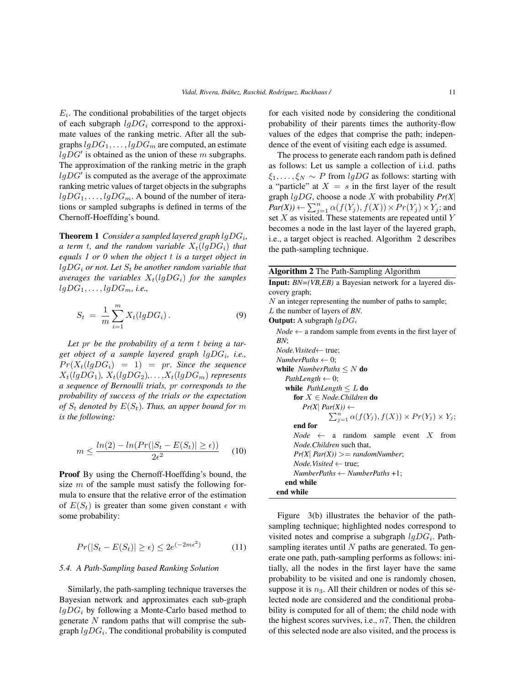$E_i$ . The conditional probabilities of the target objects of each subgraph  $lgDG_i$  correspond to the approximate values of the ranking metric. After all the subgraphs  $lgDG_1, \ldots, lgDG_m$  are computed, an estimate  $lgDG'$  is obtained as the union of these m subgraphs. The approximation of the ranking metric in the graph  $lgDG'$  is computed as the average of the approximate ranking metric values of target objects in the subgraphs  $lgDG_1, \ldots, lgDG_m$ . A bound of the number of iterations or sampled subgraphs is defined in terms of the Chernoff-Hoeffding's bound.

**Theorem 1** Consider a sampled layered graph  $lgDG_i$ , *a term t, and the random variable*  $X_t$ (lgDG<sub>i</sub>) *that equals 1 or 0 when the object* t *is a target object in*  $lgDG_i$  *or not. Let*  $S_t$  *be another random variable that averages the variables*  $X_t$ (*lgDG<sub>i</sub>*) *for the samples*  $lgDG_1, \ldots, lgDG_m$ , *i.e.*,

$$
S_t = \frac{1}{m} \sum_{i=1}^{m} X_t (lgDG_i).
$$
 (9)

*Let* pr *be the probability of a term* t *being a target object of a sample layered graph* lgDG<sup>i</sup> *, i.e.,*  $Pr(X_t(lgDG_i) = 1) = pr$ . Since the sequence  $X_t(lgDG_1), X_t(lgDG_2), \ldots, X_t(lgDG_m)$  *represents a sequence of Bernoulli trials,* pr *corresponds to the probability of success of the trials or the expectation of*  $S_t$  *denoted by*  $E(S_t)$ *. Thus, an upper bound for* m *is the following:*

$$
m \le \frac{\ln(2) - \ln(\Pr(|S_t - E(S_t)| \ge \epsilon))}{2\epsilon^2} \tag{10}
$$

Proof By using the Chernoff-Hoeffding's bound, the size  $m$  of the sample must satisfy the following formula to ensure that the relative error of the estimation of  $E(S_t)$  is greater than some given constant  $\epsilon$  with some probability:

$$
Pr(|S_t - E(S_t)| \ge \epsilon) \le 2e^{(-2m\epsilon^2)} \tag{11}
$$

#### *5.4. A Path-Sampling based Ranking Solution*

Similarly, the path-sampling technique traverses the Bayesian network and approximates each sub-graph  $lgDG_i$  by following a Monte-Carlo based method to generate  $N$  random paths that will comprise the subgraph  $lgDG_i$ . The conditional probability is computed

for each visited node by considering the conditional probability of their parents times the authority-flow values of the edges that comprise the path; independence of the event of visiting each edge is assumed.

The process to generate each random path is defined as follows: Let us sample a collection of i.i.d. paths  $\xi_1, \ldots, \xi_N \sim P$  from *lgDG* as follows: starting with a "particle" at  $X = s$  in the first layer of the result graph lgDG, choose a node X with probability *Pr(X*|  $Par(X)$ )  $\leftarrow \sum_{j=1}^{n} \alpha(f(Y_j), f(X)) \times Pr(Y_j) \times Y_j$ ; and set  $X$  as visited. These statements are repeated until  $Y$ becomes a node in the last layer of the layered graph, i.e., a target object is reached. Algorithm 2 describes the path-sampling technique.

Algorithm 2 The Path-Sampling Algorithm Input: *BN=(VB,EB)* a Bayesian network for a layered discovery graph; N an integer representing the number of paths to sample; L the number of layers of *BN*. **Output:** A subgraph  $lgDG_i$  $Node \leftarrow$  a random sample from events in the first layer of *BN*; *Node.Visited*← true;  $NumberPaths \leftarrow 0;$ while  $NumberPaths \leq N$  do *PathLength*  $\leftarrow 0$ ; while *PathLength* ≤ L do for X ∈ *Node.Children* do  $Pr(X|$   $Par(X)) \leftarrow$  $\sum_{j=1}^n \alpha(f(Y_j), f(X)) \times Pr(Y_j) \times Y_j;$ end for  $Node \leftarrow a$  random sample event X from *Node.Children* such that,  $Pr(X \mid Par(X)) >= randomNumber;$ *Node.Visited* ← true; *NumberPaths* ← *NumberPaths* +1; end while end while

Figure 3(b) illustrates the behavior of the pathsampling technique; highlighted nodes correspond to visited notes and comprise a subgraph  $lgDG_i$ . Pathsampling iterates until  $N$  paths are generated. To generate one path, path-sampling performs as follows: initially, all the nodes in the first layer have the same probability to be visited and one is randomly chosen, suppose it is  $n_3$ . All their children or nodes of this selected node are considered and the conditional probability is computed for all of them; the child node with the highest scores survives, i.e.,  $n7$ . Then, the children of this selected node are also visited, and the process is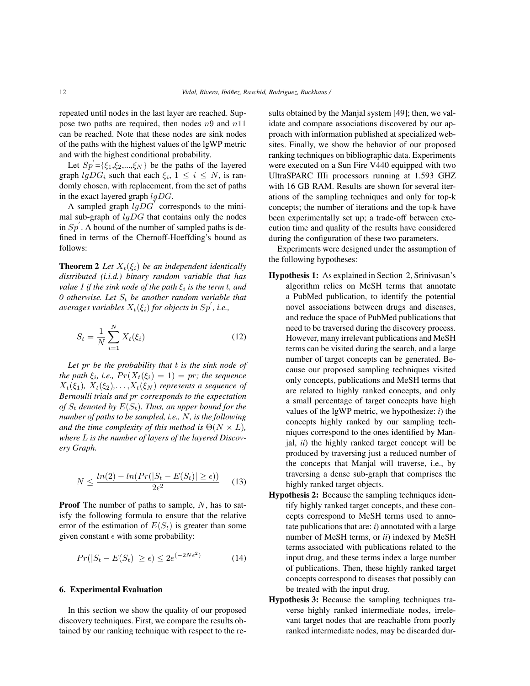repeated until nodes in the last layer are reached. Suppose two paths are required, then nodes  $n9$  and  $n11$ can be reached. Note that these nodes are sink nodes of the paths with the highest values of the lgWP metric and with the highest conditional probability.

Let  $Sp' = {\xi_1, \xi_2, ..., \xi_N}$  be the paths of the layered graph  $lgDG_i$  such that each  $\xi_i$ ,  $1 \leq i \leq N$ , is randomly chosen, with replacement, from the set of paths in the exact layered graph  $lgDG$ .

A sampled graph  $lgDG^{\prime}$  corresponds to the minimal sub-graph of  $lqDG$  that contains only the nodes in  $Sp'$ . A bound of the number of sampled paths is defined in terms of the Chernoff-Hoeffding's bound as follows:

**Theorem 2** *Let*  $X_t(\xi_i)$  *be an independent identically distributed (i.i.d.) binary random variable that has value 1 if the sink node of the path* ξ<sup>i</sup> *is the term* t*, and* 0 otherwise. Let  $S_t$  be another random variable that  $a$ verages variables  $X_t(\xi_i)$  for objects in  $Sp^{'}$ , i.e.,

$$
S_t = \frac{1}{N} \sum_{i=1}^{N} X_t(\xi_i)
$$
 (12)

*Let* pr *be the probability that* t *is the sink node of the path*  $\xi_i$ , *i.e.,*  $Pr(X_t(\xi_i) = 1) = pr$ ; the sequence  $X_t(\xi_1), X_t(\xi_2), \ldots, X_t(\xi_N)$  *represents a sequence of Bernoulli trials and* pr *corresponds to the expectation of*  $S_t$  denoted by  $E(S_t)$ . Thus, an upper bound for the *number of paths to be sampled, i.e.,* N*, is the following and the time complexity of this method is*  $\Theta(N \times L)$ *, where* L *is the number of layers of the layered Discovery Graph.*

$$
N \le \frac{\ln(2) - \ln(\Pr(|S_t - E(S_t)| \ge \epsilon))}{2\epsilon^2} \tag{13}
$$

**Proof** The number of paths to sample,  $N$ , has to satisfy the following formula to ensure that the relative error of the estimation of  $E(S_t)$  is greater than some given constant  $\epsilon$  with some probability:

$$
Pr(|S_t - E(S_t)| \ge \epsilon) \le 2e^{(-2N\epsilon^2)} \tag{14}
$$

## 6. Experimental Evaluation

In this section we show the quality of our proposed discovery techniques. First, we compare the results obtained by our ranking technique with respect to the results obtained by the Manjal system [49]; then, we validate and compare associations discovered by our approach with information published at specialized websites. Finally, we show the behavior of our proposed ranking techniques on bibliographic data. Experiments were executed on a Sun Fire V440 equipped with two UltraSPARC IIIi processors running at 1.593 GHZ with 16 GB RAM. Results are shown for several iterations of the sampling techniques and only for top-k concepts; the number of iterations and the top-k have been experimentally set up; a trade-off between execution time and quality of the results have considered during the configuration of these two parameters.

Experiments were designed under the assumption of the following hypotheses:

- Hypothesis 1: As explained in Section 2, Srinivasan's algorithm relies on MeSH terms that annotate a PubMed publication, to identify the potential novel associations between drugs and diseases, and reduce the space of PubMed publications that need to be traversed during the discovery process. However, many irrelevant publications and MeSH terms can be visited during the search, and a large number of target concepts can be generated. Because our proposed sampling techniques visited only concepts, publications and MeSH terms that are related to highly ranked concepts, and only a small percentage of target concepts have high values of the lgWP metric, we hypothesize: *i*) the concepts highly ranked by our sampling techniques correspond to the ones identified by Manjal, *ii*) the highly ranked target concept will be produced by traversing just a reduced number of the concepts that Manjal will traverse, i.e., by traversing a dense sub-graph that comprises the highly ranked target objects.
- Hypothesis 2: Because the sampling techniques identify highly ranked target concepts, and these concepts correspond to MeSH terms used to annotate publications that are: *i*) annotated with a large number of MeSH terms, or *ii*) indexed by MeSH terms associated with publications related to the input drug, and these terms index a large number of publications. Then, these highly ranked target concepts correspond to diseases that possibly can be treated with the input drug.
- Hypothesis 3: Because the sampling techniques traverse highly ranked intermediate nodes, irrelevant target nodes that are reachable from poorly ranked intermediate nodes, may be discarded dur-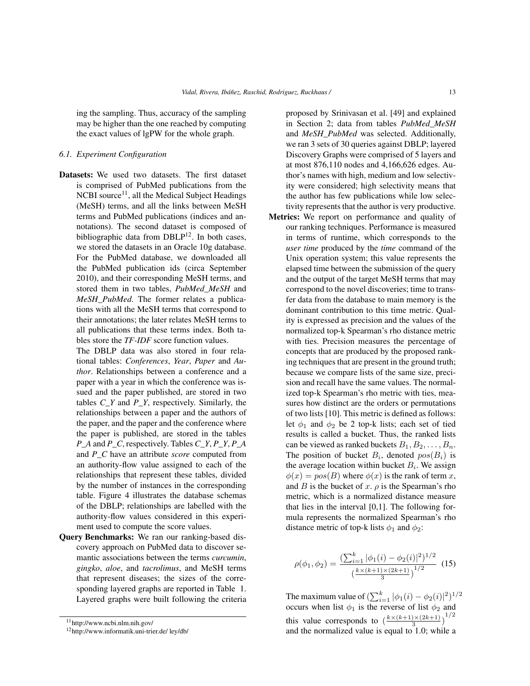ing the sampling. Thus, accuracy of the sampling may be higher than the one reached by computing the exact values of lgPW for the whole graph.

## *6.1. Experiment Configuration*

- Datasets: We used two datasets. The first dataset is comprised of PubMed publications from the NCBI source $^{11}$ , all the Medical Subject Headings (MeSH) terms, and all the links between MeSH terms and PubMed publications (indices and annotations). The second dataset is composed of bibliographic data from DBLP12. In both cases, we stored the datasets in an Oracle 10g database. For the PubMed database, we downloaded all the PubMed publication ids (circa September 2010), and their corresponding MeSH terms, and stored them in two tables, *PubMed\_MeSH* and *MeSH\_PubMed*. The former relates a publications with all the MeSH terms that correspond to their annotations; the later relates MeSH terms to all publications that these terms index. Both tables store the *TF-IDF* score function values.
	- The DBLP data was also stored in four relational tables: *Conferences*, *Year*, *Paper* and *Author*. Relationships between a conference and a paper with a year in which the conference was issued and the paper published, are stored in two tables *C\_Y* and *P\_Y*, respectively. Similarly, the relationships between a paper and the authors of the paper, and the paper and the conference where the paper is published, are stored in the tables *P\_A* and *P\_C*, respectively. Tables *C\_Y*, *P\_Y*, *P\_A* and *P\_C* have an attribute *score* computed from an authority-flow value assigned to each of the relationships that represent these tables, divided by the number of instances in the corresponding table. Figure 4 illustrates the database schemas of the DBLP; relationships are labelled with the authority-flow values considered in this experiment used to compute the score values.
- Query Benchmarks: We ran our ranking-based discovery approach on PubMed data to discover semantic associations between the terms *curcumin*, *gingko*, *aloe*, and *tacrolimus*, and MeSH terms that represent diseases; the sizes of the corresponding layered graphs are reported in Table 1. Layered graphs were built following the criteria

proposed by Srinivasan et al. [49] and explained in Section 2; data from tables *PubMed\_MeSH* and *MeSH\_PubMed* was selected. Additionally, we ran 3 sets of 30 queries against DBLP; layered Discovery Graphs were comprised of 5 layers and at most 876,110 nodes and 4,166,626 edges. Author's names with high, medium and low selectivity were considered; high selectivity means that the author has few publications while low selectivity represents that the author is very productive.

Metrics: We report on performance and quality of our ranking techniques. Performance is measured in terms of runtime, which corresponds to the *user time* produced by the *time* command of the Unix operation system; this value represents the elapsed time between the submission of the query and the output of the target MeSH terms that may correspond to the novel discoveries; time to transfer data from the database to main memory is the dominant contribution to this time metric. Quality is expressed as precision and the values of the normalized top-k Spearman's rho distance metric with ties. Precision measures the percentage of concepts that are produced by the proposed ranking techniques that are present in the ground truth; because we compare lists of the same size, precision and recall have the same values. The normalized top-k Spearman's rho metric with ties, measures how distinct are the orders or permutations of two lists [10]. This metric is defined as follows: let  $\phi_1$  and  $\phi_2$  be 2 top-k lists; each set of tied results is called a bucket. Thus, the ranked lists can be viewed as ranked buckets  $B_1, B_2, \ldots, B_n$ . The position of bucket  $B_i$ , denoted  $pos(B_i)$  is the average location within bucket  $B_i$ . We assign  $\phi(x) = pos(B)$  where  $\phi(x)$  is the rank of term x, and B is the bucket of x.  $\rho$  is the Spearman's rho metric, which is a normalized distance measure that lies in the interval  $[0,1]$ . The following formula represents the normalized Spearman's rho distance metric of top-k lists  $\phi_1$  and  $\phi_2$ :

$$
\rho(\phi_1, \phi_2) = \frac{\left(\sum_{i=1}^k |\phi_1(i) - \phi_2(i)|^2\right)^{1/2}}{\left(\frac{k \times (k+1) \times (2k+1)}{3}\right)^{1/2}} \tag{15}
$$

The maximum value of  $(\sum_{i=1}^{k} |\phi_1(i) - \phi_2(i)|^2)^{1/2}$ occurs when list  $\phi_1$  is the reverse of list  $\phi_2$  and this value corresponds to  $\left(\frac{k \times (k+1) \times (2k+1)}{3}\right)$  $\frac{1}{3}\times(2k+1)\choose 3}^{1/2}$ and the normalized value is equal to 1.0; while a

<sup>11</sup>http://www.ncbi.nlm.nih.gov/

<sup>12</sup>http://www.informatik.uni-trier.de/ ley/db/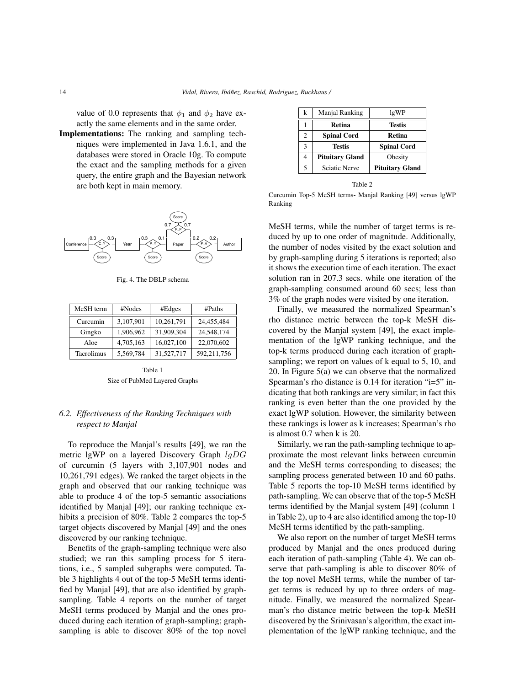value of 0.0 represents that  $\phi_1$  and  $\phi_2$  have exactly the same elements and in the same order.

Implementations: The ranking and sampling techniques were implemented in Java 1.6.1, and the databases were stored in Oracle 10g. To compute the exact and the sampling methods for a given query, the entire graph and the Bayesian network are both kept in main memory.



Fig. 4. The DBLP schema

| MeSH term  | #Nodes    | #Edges     | #Paths      |
|------------|-----------|------------|-------------|
| Curcumin   | 3,107,901 | 10,261,791 | 24,455,484  |
| Gingko     | 1,906,962 | 31,909,304 | 24,548,174  |
| Aloe       | 4,705,163 | 16,027,100 | 22,070,602  |
| Tacrolimus | 5,569,784 | 31.527.717 | 592,211,756 |

Table 1 Size of PubMed Layered Graphs

# *6.2. Effectiveness of the Ranking Techniques with respect to Manjal*

To reproduce the Manjal's results [49], we ran the metric lgWP on a layered Discovery Graph  $lgDG$ of curcumin (5 layers with 3,107,901 nodes and 10,261,791 edges). We ranked the target objects in the graph and observed that our ranking technique was able to produce 4 of the top-5 semantic associations identified by Manjal [49]; our ranking technique exhibits a precision of 80%. Table 2 compares the top-5 target objects discovered by Manjal [49] and the ones discovered by our ranking technique.

Benefits of the graph-sampling technique were also studied; we ran this sampling process for 5 iterations, i.e., 5 sampled subgraphs were computed. Table 3 highlights 4 out of the top-5 MeSH terms identified by Manjal [49], that are also identified by graphsampling. Table 4 reports on the number of target MeSH terms produced by Manjal and the ones produced during each iteration of graph-sampling; graphsampling is able to discover 80% of the top novel

| k              | Manjal Ranking         | lgWP                   |
|----------------|------------------------|------------------------|
|                | <b>Retina</b>          | <b>Testis</b>          |
| $\mathfrak{D}$ | <b>Spinal Cord</b>     | Retina                 |
| 3              | <b>Testis</b>          | <b>Spinal Cord</b>     |
| 4              | <b>Pituitary Gland</b> | Obesity                |
| 5              | <b>Sciatic Nerve</b>   | <b>Pituitary Gland</b> |

Table 2

Curcumin Top-5 MeSH terms- Manjal Ranking [49] versus lgWP Ranking

MeSH terms, while the number of target terms is reduced by up to one order of magnitude. Additionally, the number of nodes visited by the exact solution and by graph-sampling during 5 iterations is reported; also it shows the execution time of each iteration. The exact solution ran in 207.3 secs. while one iteration of the graph-sampling consumed around 60 secs; less than 3% of the graph nodes were visited by one iteration.

Finally, we measured the normalized Spearman's rho distance metric between the top-k MeSH discovered by the Manjal system [49], the exact implementation of the lgWP ranking technique, and the top-k terms produced during each iteration of graphsampling; we report on values of k equal to 5, 10, and 20. In Figure 5(a) we can observe that the normalized Spearman's rho distance is 0.14 for iteration "i=5" indicating that both rankings are very similar; in fact this ranking is even better than the one provided by the exact lgWP solution. However, the similarity between these rankings is lower as k increases; Spearman's rho is almost 0.7 when k is 20.

Similarly, we ran the path-sampling technique to approximate the most relevant links between curcumin and the MeSH terms corresponding to diseases; the sampling process generated between 10 and 60 paths. Table 5 reports the top-10 MeSH terms identified by path-sampling. We can observe that of the top-5 MeSH terms identified by the Manjal system [49] (column 1 in Table 2), up to 4 are also identified among the top-10 MeSH terms identified by the path-sampling.

We also report on the number of target MeSH terms produced by Manjal and the ones produced during each iteration of path-sampling (Table 4). We can observe that path-sampling is able to discover 80% of the top novel MeSH terms, while the number of target terms is reduced by up to three orders of magnitude. Finally, we measured the normalized Spearman's rho distance metric between the top-k MeSH discovered by the Srinivasan's algorithm, the exact implementation of the lgWP ranking technique, and the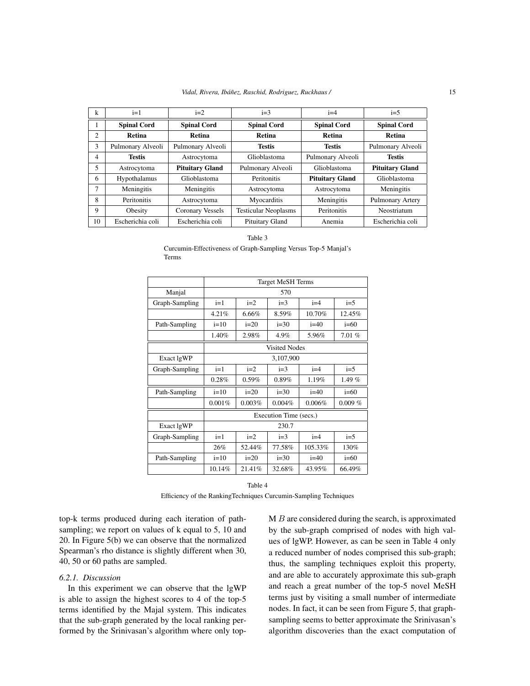| k              | $i=1$              | $i=2$                  | $i=3$                       | $i=4$                  | $i=5$                  |
|----------------|--------------------|------------------------|-----------------------------|------------------------|------------------------|
| 1              | <b>Spinal Cord</b> | <b>Spinal Cord</b>     | <b>Spinal Cord</b>          | <b>Spinal Cord</b>     | <b>Spinal Cord</b>     |
| $\overline{c}$ | Retina             | Retina                 | Retina                      | Retina                 | Retina                 |
| 3              | Pulmonary Alveoli  | Pulmonary Alveoli      | <b>Testis</b>               | <b>Testis</b>          | Pulmonary Alveoli      |
| 4              | <b>Testis</b>      | Astrocytoma            | Glioblastoma                | Pulmonary Alveoli      | <b>Testis</b>          |
| 5              | Astrocytoma        | <b>Pituitary Gland</b> | Pulmonary Alveoli           | Glioblastoma           | <b>Pituitary Gland</b> |
| 6              | Hypothalamus       | Glioblastoma           | Peritonitis                 | <b>Pituitary Gland</b> | Glioblastoma           |
| 7              | Meningitis         | Meningitis             | Astrocytoma                 | Astrocytoma            | Meningitis             |
| 8              | Peritonitis        | Astrocytoma            | Myocarditis                 | Meningitis             | Pulmonary Artery       |
| 9              | Obesity            | Coronary Vessels       | <b>Testicular Neoplasms</b> | Peritonitis            | Neostriatum            |
| 10             | Escherichia coli   | Escherichia coli       | Pituitary Gland             | Anemia                 | Escherichia coli       |

Table 3

Curcumin-Effectiveness of Graph-Sampling Versus Top-5 Manjal's Terms

|                | <b>Target MeSH Terms</b> |        |                        |         |           |
|----------------|--------------------------|--------|------------------------|---------|-----------|
| Manjal         | 570                      |        |                        |         |           |
| Graph-Sampling | $i=1$                    | $i=2$  | $i=3$                  | $i=4$   | $i=5$     |
|                | 4.21%                    | 6.66%  | 8.59%                  | 10.70%  | 12.45%    |
| Path-Sampling  | $i=10$                   | $i=20$ | $i=30$                 | $i=40$  | $i=60$    |
|                | 1.40%                    | 2.98%  | 4.9%                   | 5.96%   | 7.01%     |
|                | <b>Visited Nodes</b>     |        |                        |         |           |
| Exact lgWP     | 3,107,900                |        |                        |         |           |
| Graph-Sampling | $i=1$                    | $i=2$  | $i=3$                  | $i=4$   | $i=5$     |
|                | 0.28%                    | 0.59%  | 0.89%                  | 1.19%   | 1.49%     |
| Path-Sampling  | $i=10$                   | $i=20$ | $i=30$                 | $i=40$  | $i=60$    |
|                | 0.001%                   | 0.003% | 0.004%                 | 0.006%  | $0.009\%$ |
|                |                          |        | Execution Time (secs.) |         |           |
| Exact lgWP     |                          |        | 230.7                  |         |           |
| Graph-Sampling | $i=1$                    | $i=2$  | $i=3$                  | $i=4$   | $i=5$     |
|                | 26%                      | 52.44% | 77.58%                 | 105.33% | 130%      |
| Path-Sampling  | $i=10$                   | $i=20$ | $i=30$                 | $i=40$  | $i=60$    |
|                | 10.14%                   | 21.41% | 32.68%                 | 43.95%  | 66.49%    |

Table 4

Efficiency of the RankingTechniques Curcumin-Sampling Techniques

top-k terms produced during each iteration of pathsampling; we report on values of k equal to 5, 10 and 20. In Figure 5(b) we can observe that the normalized Spearman's rho distance is slightly different when 30, 40, 50 or 60 paths are sampled.

#### *6.2.1. Discussion*

In this experiment we can observe that the lgWP is able to assign the highest scores to 4 of the top-5 terms identified by the Majal system. This indicates that the sub-graph generated by the local ranking performed by the Srinivasan's algorithm where only top $M B$  are considered during the search, is approximated by the sub-graph comprised of nodes with high values of lgWP. However, as can be seen in Table 4 only a reduced number of nodes comprised this sub-graph; thus, the sampling techniques exploit this property, and are able to accurately approximate this sub-graph and reach a great number of the top-5 novel MeSH terms just by visiting a small number of intermediate nodes. In fact, it can be seen from Figure 5, that graphsampling seems to better approximate the Srinivasan's algorithm discoveries than the exact computation of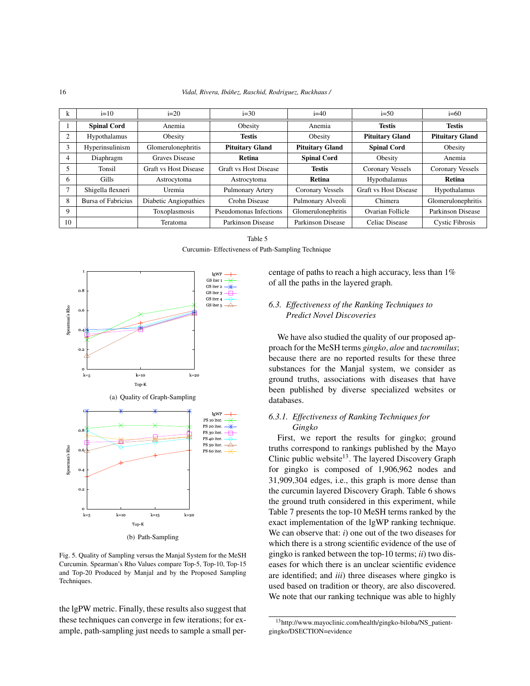| k  | $i=10$             | $i=20$                       | $i=30$                       | $i=40$                 | $i=50$                       | $i=60$                 |
|----|--------------------|------------------------------|------------------------------|------------------------|------------------------------|------------------------|
|    | <b>Spinal Cord</b> | Anemia                       | Obesity                      | Anemia                 | <b>Testis</b>                | <b>Testis</b>          |
| 2  | Hypothalamus       | Obesity                      | <b>Testis</b>                | Obesity                | <b>Pituitary Gland</b>       | <b>Pituitary Gland</b> |
| 3  | Hyperinsulinism    | Glomerulonephritis           | <b>Pituitary Gland</b>       | <b>Pituitary Gland</b> | <b>Spinal Cord</b>           | Obesity                |
| 4  | Diaphragm          | <b>Graves Disease</b>        | Retina                       | <b>Spinal Cord</b>     | Obesity                      | Anemia                 |
|    | Tonsil             | <b>Graft vs Host Disease</b> | <b>Graft vs Host Disease</b> | <b>Testis</b>          | Coronary Vessels             | Coronary Vessels       |
| 6  | <b>Gills</b>       | Astrocytoma                  | Astrocytoma                  | Retina                 | Hypothalamus                 | Retina                 |
|    | Shigella flexneri  | Uremia                       | Pulmonary Artery             | Coronary Vessels       | <b>Graft vs Host Disease</b> | Hypothalamus           |
| 8  | Bursa of Fabricius | Diabetic Angiopathies        | Crohn Disease                | Pulmonary Alveoli      | Chimera                      | Glomerulonephritis     |
| 9  |                    | Toxoplasmosis                | Pseudomonas Infections       | Glomerulonephritis     | Ovarian Follicle             | Parkinson Disease      |
| 10 |                    | Teratoma                     | Parkinson Disease            | Parkinson Disease      | Celiac Disease               | <b>Cystic Fibrosis</b> |

Table 5 Curcumin- Effectiveness of Path-Sampling Technique



Fig. 5. Quality of Sampling versus the Manjal System for the MeSH Curcumin. Spearman's Rho Values compare Top-5, Top-10, Top-15 and Top-20 Produced by Manjal and by the Proposed Sampling Techniques.

the lgPW metric. Finally, these results also suggest that these techniques can converge in few iterations; for example, path-sampling just needs to sample a small percentage of paths to reach a high accuracy, less than 1% of all the paths in the layered graph.

# *6.3. Effectiveness of the Ranking Techniques to Predict Novel Discoveries*

We have also studied the quality of our proposed approach for the MeSH terms *gingko*, *aloe* and *tacromilus*; because there are no reported results for these three substances for the Manjal system, we consider as ground truths, associations with diseases that have been published by diverse specialized websites or databases.

# *6.3.1. Effectiveness of Ranking Techniques for Gingko*

First, we report the results for gingko; ground truths correspond to rankings published by the Mayo Clinic public website<sup>13</sup>. The layered Discovery Graph for gingko is composed of 1,906,962 nodes and 31,909,304 edges, i.e., this graph is more dense than the curcumin layered Discovery Graph. Table 6 shows the ground truth considered in this experiment, while Table 7 presents the top-10 MeSH terms ranked by the exact implementation of the lgWP ranking technique. We can observe that: *i*) one out of the two diseases for which there is a strong scientific evidence of the use of gingko is ranked between the top-10 terms; *ii*) two diseases for which there is an unclear scientific evidence are identified; and *iii*) three diseases where gingko is used based on tradition or theory, are also discovered. We note that our ranking technique was able to highly

<sup>13</sup>http://www.mayoclinic.com/health/gingko-biloba/NS\_patientgingko/DSECTION=evidence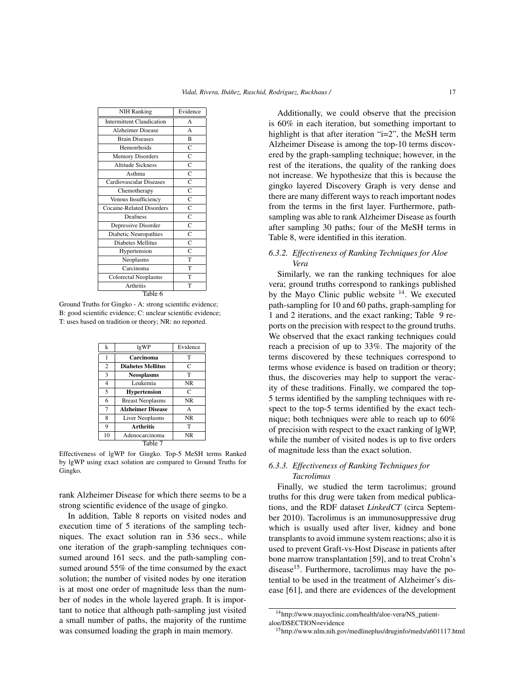| <b>NIH Ranking</b>               | Evidence              |  |  |  |  |  |  |
|----------------------------------|-----------------------|--|--|--|--|--|--|
| <b>Intermittent Claudication</b> | A                     |  |  |  |  |  |  |
| <b>Alzheimer Disease</b>         | A                     |  |  |  |  |  |  |
| <b>Brain Diseases</b>            | $\overline{B}$        |  |  |  |  |  |  |
| Hemorrhoids                      | $\overline{C}$        |  |  |  |  |  |  |
| <b>Memory Disorders</b>          | $\overline{C}$        |  |  |  |  |  |  |
| <b>Altitude Sickness</b>         | $\overline{c}$        |  |  |  |  |  |  |
| Asthma                           | $\overline{C}$        |  |  |  |  |  |  |
| <b>Cardiovascular Diseases</b>   | $\overline{\text{c}}$ |  |  |  |  |  |  |
| Chemotherapy                     | $\overline{C}$        |  |  |  |  |  |  |
| Venous Insufficiency             | $\mathbf C$           |  |  |  |  |  |  |
| <b>Cocaine-Related Disorders</b> | $\overline{C}$        |  |  |  |  |  |  |
| Deafness                         | $\overline{C}$        |  |  |  |  |  |  |
| Depressive Disorder              | $\overline{C}$        |  |  |  |  |  |  |
| Diabetic Neuropathies            | $\overline{C}$        |  |  |  |  |  |  |
| <b>Diabetes Mellitus</b>         | $\overline{C}$        |  |  |  |  |  |  |
| Hypertension                     | $\overline{C}$        |  |  |  |  |  |  |
| Neoplasms                        | T                     |  |  |  |  |  |  |
| Carcinoma                        | T                     |  |  |  |  |  |  |
| <b>Colorectal Neoplasms</b>      | T                     |  |  |  |  |  |  |
| Arthritis                        | T                     |  |  |  |  |  |  |
| Table 6                          |                       |  |  |  |  |  |  |

Ground Truths for Gingko - A: strong scientific evidence; B: good scientific evidence; C: unclear scientific evidence; T: uses based on tradition or theory; NR: no reported.

| k              | lgWP                     | Evidence     |
|----------------|--------------------------|--------------|
| 1              | Carcinoma                | T            |
| $\overline{2}$ | <b>Diabetes Mellitus</b> | C            |
| 3              | <b>Neosplasms</b>        | T            |
| $\overline{4}$ | Leukemia                 | <b>NR</b>    |
| 5              | <b>Hypertension</b>      | C            |
| 6              | <b>Breast Neoplasms</b>  | NR.          |
| $\overline{7}$ | <b>Alzheimer Disease</b> | $\mathsf{A}$ |
| 8              | <b>Liver Neoplasms</b>   | NR.          |
| 9              | <b>Arthritis</b>         | T            |
| 10             | Adenocarcinoma           | <b>NR</b>    |
|                | Table 7                  |              |

Effectiveness of lgWP for Gingko. Top-5 MeSH terms Ranked by lgWP using exact solution are compared to Ground Truths for Gingko.

rank Alzheimer Disease for which there seems to be a strong scientific evidence of the usage of gingko.

In addition, Table 8 reports on visited nodes and execution time of 5 iterations of the sampling techniques. The exact solution ran in 536 secs., while one iteration of the graph-sampling techniques consumed around 161 secs. and the path-sampling consumed around 55% of the time consumed by the exact solution; the number of visited nodes by one iteration is at most one order of magnitude less than the number of nodes in the whole layered graph. It is important to notice that although path-sampling just visited a small number of paths, the majority of the runtime was consumed loading the graph in main memory.

Additionally, we could observe that the precision is 60% in each iteration, but something important to highlight is that after iteration "i=2", the MeSH term Alzheimer Disease is among the top-10 terms discovered by the graph-sampling technique; however, in the rest of the iterations, the quality of the ranking does not increase. We hypothesize that this is because the gingko layered Discovery Graph is very dense and there are many different ways to reach important nodes from the terms in the first layer. Furthermore, pathsampling was able to rank Alzheimer Disease as fourth after sampling 30 paths; four of the MeSH terms in Table 8, were identified in this iteration.

## *6.3.2. Effectiveness of Ranking Techniques for Aloe Vera*

Similarly, we ran the ranking techniques for aloe vera; ground truths correspond to rankings published by the Mayo Clinic public website  $14$ . We executed path-sampling for 10 and 60 paths, graph-sampling for 1 and 2 iterations, and the exact ranking; Table 9 reports on the precision with respect to the ground truths. We observed that the exact ranking techniques could reach a precision of up to 33%. The majority of the terms discovered by these techniques correspond to terms whose evidence is based on tradition or theory; thus, the discoveries may help to support the veracity of these traditions. Finally, we compared the top-5 terms identified by the sampling techniques with respect to the top-5 terms identified by the exact technique; both techniques were able to reach up to 60% of precision with respect to the exact ranking of lgWP, while the number of visited nodes is up to five orders of magnitude less than the exact solution.

## *6.3.3. Effectiveness of Ranking Techniques for Tacrolimus*

Finally, we studied the term tacrolimus; ground truths for this drug were taken from medical publications, and the RDF dataset *LinkedCT* (circa September 2010). Tacrolimus is an immunosuppressive drug which is usually used after liver, kidney and bone transplants to avoid immune system reactions; also it is used to prevent Graft-vs-Host Disease in patients after bone marrow transplantation [59], and to treat Crohn's disease<sup>15</sup>. Furthermore, tacrolimus may have the potential to be used in the treatment of Alzheimer's disease [61], and there are evidences of the development

<sup>14</sup>http://www.mayoclinic.com/health/aloe-vera/NS\_patientaloe/DSECTION=evidence

<sup>15</sup>http://www.nlm.nih.gov/medlineplus/druginfo/meds/a601117.html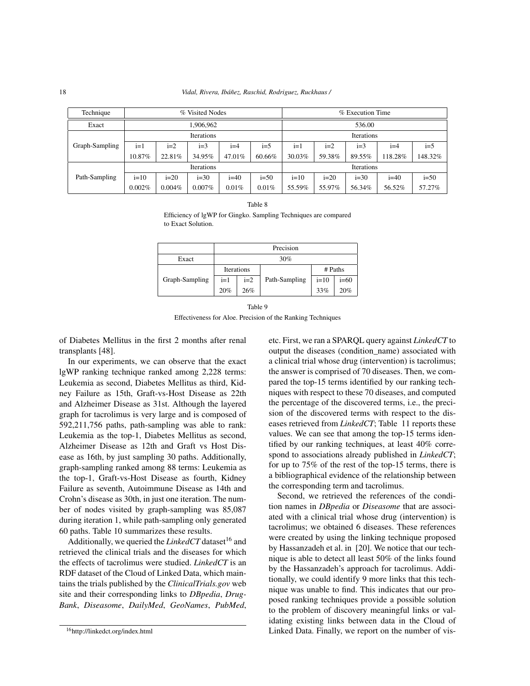| Technique      | % Visited Nodes   |        |           |            |        | % Execution Time |        |        |         |         |
|----------------|-------------------|--------|-----------|------------|--------|------------------|--------|--------|---------|---------|
| Exact          | 906,962           |        |           |            | 536.00 |                  |        |        |         |         |
|                | <b>Iterations</b> |        |           | Iterations |        |                  |        |        |         |         |
| Graph-Sampling | $i=1$             | $i=2$  | $i=3$     | $i=4$      | $i=5$  | $i=1$            | $i=2$  | $i=3$  | $i=4$   | $i=5$   |
|                | 10.87%            | 22.81% | 34.95%    | 47.01%     | 60.66% | 30.03%           | 59.38% | 89.55% | 118.28% | 148.32% |
|                | Iterations        |        |           | Iterations |        |                  |        |        |         |         |
| Path-Sampling  | $i=10$            | $i=20$ | $i=30$    | $i=40$     | $i=50$ | $i=10$           | $i=20$ | $i=30$ | $i=40$  | $i=50$  |
|                | 0.002%            | 0.004% | $0.007\%$ | 0.01%      | 0.01%  | 55.59%           | 55.97% | 56.34% | 56.52%  | 57.27%  |

| I |  |
|---|--|
|---|--|

Efficiency of lgWP for Gingko. Sampling Techniques are compared to Exact Solution.

|                | Precision  |       |               |         |        |
|----------------|------------|-------|---------------|---------|--------|
| Exact          | 30%        |       |               |         |        |
|                | Iterations |       |               | # Paths |        |
| Graph-Sampling | $i=1$      | $i=2$ | Path-Sampling | $i=10$  | $i=60$ |
|                | 20%        | 26%   |               | 33%     | 20%    |

Table 9 Effectiveness for Aloe. Precision of the Ranking Techniques

of Diabetes Mellitus in the first 2 months after renal transplants [48].

In our experiments, we can observe that the exact lgWP ranking technique ranked among 2,228 terms: Leukemia as second, Diabetes Mellitus as third, Kidney Failure as 15th, Graft-vs-Host Disease as 22th and Alzheimer Disease as 31st. Although the layered graph for tacrolimus is very large and is composed of 592,211,756 paths, path-sampling was able to rank: Leukemia as the top-1, Diabetes Mellitus as second, Alzheimer Disease as 12th and Graft vs Host Disease as 16th, by just sampling 30 paths. Additionally, graph-sampling ranked among 88 terms: Leukemia as the top-1, Graft-vs-Host Disease as fourth, Kidney Failure as seventh, Autoimmune Disease as 14th and Crohn's disease as 30th, in just one iteration. The number of nodes visited by graph-sampling was 85,087 during iteration 1, while path-sampling only generated 60 paths. Table 10 summarizes these results.

Additionally, we queried the *LinkedCT* dataset<sup>16</sup> and retrieved the clinical trials and the diseases for which the effects of tacrolimus were studied. *LinkedCT* is an RDF dataset of the Cloud of Linked Data, which maintains the trials published by the *ClinicalTrials.gov* web site and their corresponding links to *DBpedia*, *Drug-Bank*, *Diseasome*, *DailyMed*, *GeoNames*, *PubMed*, etc. First, we ran a SPARQL query against *LinkedCT* to output the diseases (condition\_name) associated with a clinical trial whose drug (intervention) is tacrolimus; the answer is comprised of 70 diseases. Then, we compared the top-15 terms identified by our ranking techniques with respect to these 70 diseases, and computed the percentage of the discovered terms, i.e., the precision of the discovered terms with respect to the diseases retrieved from *LinkedCT*; Table 11 reports these values. We can see that among the top-15 terms identified by our ranking techniques, at least 40% correspond to associations already published in *LinkedCT*; for up to 75% of the rest of the top-15 terms, there is a bibliographical evidence of the relationship between the corresponding term and tacrolimus.

Second, we retrieved the references of the condition names in *DBpedia* or *Diseasome* that are associated with a clinical trial whose drug (intervention) is tacrolimus; we obtained 6 diseases. These references were created by using the linking technique proposed by Hassanzadeh et al. in [20]. We notice that our technique is able to detect all least 50% of the links found by the Hassanzadeh's approach for tacrolimus. Additionally, we could identify 9 more links that this technique was unable to find. This indicates that our proposed ranking techniques provide a possible solution to the problem of discovery meaningful links or validating existing links between data in the Cloud of Linked Data. Finally, we report on the number of vis-

<sup>16</sup>http://linkedct.org/index.html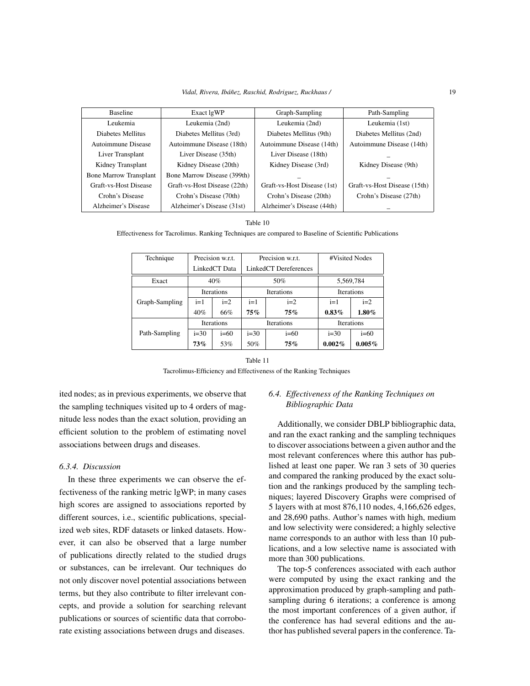| <b>Baseline</b>               | Exact lgWP                   | Graph-Sampling              | Path-Sampling                |
|-------------------------------|------------------------------|-----------------------------|------------------------------|
| Leukemia                      | Leukemia (2nd)               | Leukemia (2nd)              | Leukemia (1st)               |
| Diabetes Mellitus             | Diabetes Mellitus (3rd)      | Diabetes Mellitus (9th)     | Diabetes Mellitus (2nd)      |
| Autoimmune Disease            | Autoimmune Disease (18th)    | Autoimmune Disease (14th)   | Autoimmune Disease (14th)    |
| Liver Transplant              | Liver Disease (35th)         | Liver Disease (18th)        |                              |
| Kidney Transplant             | Kidney Disease (20th)        | Kidney Disease (3rd)        | Kidney Disease (9th)         |
| <b>Bone Marrow Transplant</b> | Bone Marrow Disease (399th)  |                             |                              |
| Graft-vs-Host Disease         | Graft-vs-Host Disease (22th) | Graft-vs-Host Disease (1st) | Graft-vs-Host Disease (15th) |
| Crohn's Disease               | Crohn's Disease (70th)       | Crohn's Disease (20th)      | Crohn's Disease (27th)       |
| Alzheimer's Disease           | Alzheimer's Disease (31st)   | Alzheimer's Disease (44th)  |                              |

|  |  | Table |  |
|--|--|-------|--|
|--|--|-------|--|

Effectiveness for Tacrolimus. Ranking Techniques are compared to Baseline of Scientific Publications

| Technique      | Precision w.r.t.  |        |                   | Precision w.r.t.      | #Visited Nodes    |           |
|----------------|-------------------|--------|-------------------|-----------------------|-------------------|-----------|
|                | LinkedCT Data     |        |                   | LinkedCT Dereferences |                   |           |
| Exact          | 40%               |        |                   | 50%                   | 5,569,784         |           |
|                | <b>Iterations</b> |        | <b>Iterations</b> |                       | <b>Iterations</b> |           |
| Graph-Sampling | $i=1$             | $i=2$  | $i=1$             | $i=2$                 | $i=1$             | $i=2$     |
|                | 40%               | 66%    | $75\%$            | 75%                   | $0.83\%$          | $1.80\%$  |
|                | <b>Iterations</b> |        | Iterations        |                       | Iterations        |           |
| Path-Sampling  | $i=30$            | $i=60$ | $i=30$            | $i=60$                | $i=30$            | $i=60$    |
|                | 73%               | 53%    | 50%               | 75%                   | 0.002%            | $0.005\%$ |

Table 11 Tacrolimus-Efficiency and Effectiveness of the Ranking Techniques

ited nodes; as in previous experiments, we observe that the sampling techniques visited up to 4 orders of magnitude less nodes than the exact solution, providing an efficient solution to the problem of estimating novel associations between drugs and diseases.

# *6.3.4. Discussion*

In these three experiments we can observe the effectiveness of the ranking metric lgWP; in many cases high scores are assigned to associations reported by different sources, i.e., scientific publications, specialized web sites, RDF datasets or linked datasets. However, it can also be observed that a large number of publications directly related to the studied drugs or substances, can be irrelevant. Our techniques do not only discover novel potential associations between terms, but they also contribute to filter irrelevant concepts, and provide a solution for searching relevant publications or sources of scientific data that corroborate existing associations between drugs and diseases.

# *6.4. Effectiveness of the Ranking Techniques on Bibliographic Data*

Additionally, we consider DBLP bibliographic data, and ran the exact ranking and the sampling techniques to discover associations between a given author and the most relevant conferences where this author has published at least one paper. We ran 3 sets of 30 queries and compared the ranking produced by the exact solution and the rankings produced by the sampling techniques; layered Discovery Graphs were comprised of 5 layers with at most 876,110 nodes, 4,166,626 edges, and 28,690 paths. Author's names with high, medium and low selectivity were considered; a highly selective name corresponds to an author with less than 10 publications, and a low selective name is associated with more than 300 publications.

The top-5 conferences associated with each author were computed by using the exact ranking and the approximation produced by graph-sampling and pathsampling during 6 iterations; a conference is among the most important conferences of a given author, if the conference has had several editions and the author has published several papers in the conference. Ta-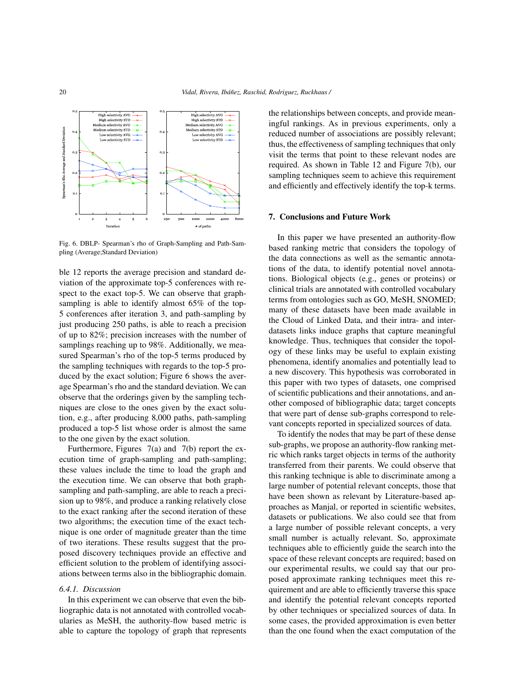

Fig. 6. DBLP- Spearman's rho of Graph-Sampling and Path-Sampling (Average;Standard Deviation)

ble 12 reports the average precision and standard deviation of the approximate top-5 conferences with respect to the exact top-5. We can observe that graphsampling is able to identify almost 65% of the top-5 conferences after iteration 3, and path-sampling by just producing 250 paths, is able to reach a precision of up to 82%; precision increases with the number of samplings reaching up to 98%. Additionally, we measured Spearman's rho of the top-5 terms produced by the sampling techniques with regards to the top-5 produced by the exact solution; Figure 6 shows the average Spearman's rho and the standard deviation. We can observe that the orderings given by the sampling techniques are close to the ones given by the exact solution, e.g., after producing 8,000 paths, path-sampling produced a top-5 list whose order is almost the same to the one given by the exact solution.

Furthermore, Figures 7(a) and 7(b) report the execution time of graph-sampling and path-sampling; these values include the time to load the graph and the execution time. We can observe that both graphsampling and path-sampling, are able to reach a precision up to 98%, and produce a ranking relatively close to the exact ranking after the second iteration of these two algorithms; the execution time of the exact technique is one order of magnitude greater than the time of two iterations. These results suggest that the proposed discovery techniques provide an effective and efficient solution to the problem of identifying associations between terms also in the bibliographic domain.

#### *6.4.1. Discussion*

In this experiment we can observe that even the bibliographic data is not annotated with controlled vocabularies as MeSH, the authority-flow based metric is able to capture the topology of graph that represents the relationships between concepts, and provide meaningful rankings. As in previous experiments, only a reduced number of associations are possibly relevant; thus, the effectiveness of sampling techniques that only visit the terms that point to these relevant nodes are required. As shown in Table 12 and Figure 7(b), our sampling techniques seem to achieve this requirement and efficiently and effectively identify the top-k terms.

#### 7. Conclusions and Future Work

In this paper we have presented an authority-flow based ranking metric that considers the topology of the data connections as well as the semantic annotations of the data, to identify potential novel annotations. Biological objects (e.g., genes or proteins) or clinical trials are annotated with controlled vocabulary terms from ontologies such as GO, MeSH, SNOMED; many of these datasets have been made available in the Cloud of Linked Data, and their intra- and interdatasets links induce graphs that capture meaningful knowledge. Thus, techniques that consider the topology of these links may be useful to explain existing phenomena, identify anomalies and potentially lead to a new discovery. This hypothesis was corroborated in this paper with two types of datasets, one comprised of scientific publications and their annotations, and another composed of bibliographic data; target concepts that were part of dense sub-graphs correspond to relevant concepts reported in specialized sources of data.

To identify the nodes that may be part of these dense sub-graphs, we propose an authority-flow ranking metric which ranks target objects in terms of the authority transferred from their parents. We could observe that this ranking technique is able to discriminate among a large number of potential relevant concepts, those that have been shown as relevant by Literature-based approaches as Manjal, or reported in scientific websites, datasets or publications. We also could see that from a large number of possible relevant concepts, a very small number is actually relevant. So, approximate techniques able to efficiently guide the search into the space of these relevant concepts are required; based on our experimental results, we could say that our proposed approximate ranking techniques meet this requirement and are able to efficiently traverse this space and identify the potential relevant concepts reported by other techniques or specialized sources of data. In some cases, the provided approximation is even better than the one found when the exact computation of the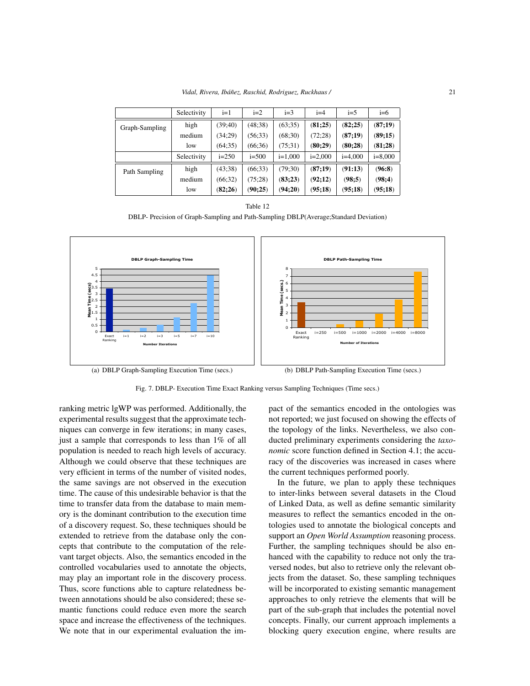*Vidal, Rivera, Ibáñez, Raschid, Rodriguez, Ruckhaus /* 21

|                | Selectivity | $i=1$     | $i=2$     | $i=3$     | $i=4$     | $i=5$     | $i=6$     |
|----------------|-------------|-----------|-----------|-----------|-----------|-----------|-----------|
| Graph-Sampling | high        | (39; 40)  | (48:38)   | (63; 35)  | (81;25)   | (82;25)   | (87;19)   |
|                | medium      | (34;29)   | (56; 33)  | (68:30)   | (72;28)   | (87;19)   | (89;15)   |
|                | low         | (64:35)   | (66:36)   | (75:31)   | (80;29)   | (80;28)   | (81;28)   |
|                | Selectivity | $i = 250$ | $i = 500$ | $i=1,000$ | $i=2,000$ | $i=4,000$ | $i=8,000$ |
| Path Sampling  | high        | (43:38)   | (66:33)   | (79:30)   | (87;19)   | (91:13)   | (96:8)    |
|                | medium      | (66; 32)  | (75:28)   | (83;23)   | (92;12)   | (98;5)    | (98;4)    |
|                | low         | (82;26)   | (90;25)   | (94;20)   | (95;18)   | (95;18)   | (95;18)   |

Table 12

DBLP- Precision of Graph-Sampling and Path-Sampling DBLP(Average;Standard Deviation)



(a) DBLP Graph-Sampling Execution Time (secs.)

(b) DBLP Path-Sampling Execution Time (secs.)

Fig. 7. DBLP- Execution Time Exact Ranking versus Sampling Techniques (Time secs.)

ranking metric lgWP was performed. Additionally, the experimental results suggest that the approximate techniques can converge in few iterations; in many cases, just a sample that corresponds to less than 1% of all population is needed to reach high levels of accuracy. Although we could observe that these techniques are very efficient in terms of the number of visited nodes, the same savings are not observed in the execution time. The cause of this undesirable behavior is that the time to transfer data from the database to main memory is the dominant contribution to the execution time of a discovery request. So, these techniques should be extended to retrieve from the database only the concepts that contribute to the computation of the relevant target objects. Also, the semantics encoded in the controlled vocabularies used to annotate the objects, may play an important role in the discovery process. Thus, score functions able to capture relatedness between annotations should be also considered; these semantic functions could reduce even more the search space and increase the effectiveness of the techniques. We note that in our experimental evaluation the impact of the semantics encoded in the ontologies was not reported; we just focused on showing the effects of the topology of the links. Nevertheless, we also conducted preliminary experiments considering the *taxonomic* score function defined in Section 4.1; the accuracy of the discoveries was increased in cases where the current techniques performed poorly.

In the future, we plan to apply these techniques to inter-links between several datasets in the Cloud of Linked Data, as well as define semantic similarity measures to reflect the semantics encoded in the ontologies used to annotate the biological concepts and support an *Open World Assumption* reasoning process. Further, the sampling techniques should be also enhanced with the capability to reduce not only the traversed nodes, but also to retrieve only the relevant objects from the dataset. So, these sampling techniques will be incorporated to existing semantic management approaches to only retrieve the elements that will be part of the sub-graph that includes the potential novel concepts. Finally, our current approach implements a blocking query execution engine, where results are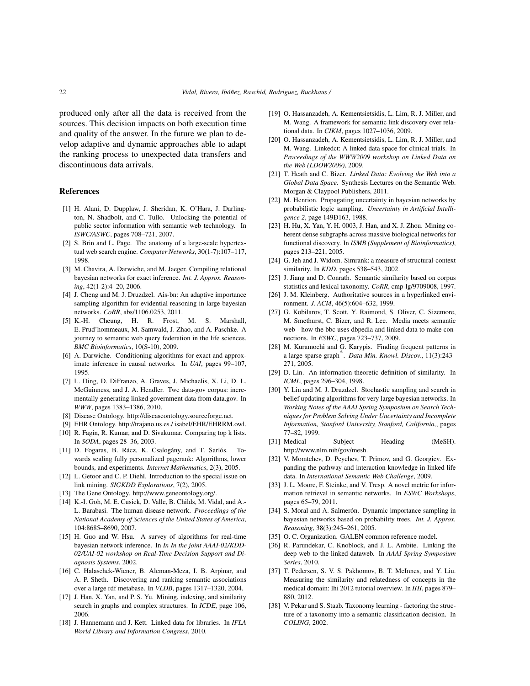produced only after all the data is received from the sources. This decision impacts on both execution time and quality of the answer. In the future we plan to develop adaptive and dynamic approaches able to adapt the ranking process to unexpected data transfers and discontinuous data arrivals.

#### References

- [1] H. Alani, D. Dupplaw, J. Sheridan, K. O'Hara, J. Darlington, N. Shadbolt, and C. Tullo. Unlocking the potential of public sector information with semantic web technology. In *ISWC/ASWC*, pages 708–721, 2007.
- [2] S. Brin and L. Page. The anatomy of a large-scale hypertextual web search engine. *Computer Networks*, 30(1-7):107–117, 1998.
- [3] M. Chavira, A. Darwiche, and M. Jaeger. Compiling relational bayesian networks for exact inference. *Int. J. Approx. Reasoning*, 42(1-2):4–20, 2006.
- [4] J. Cheng and M. J. Druzdzel. Ais-bn: An adaptive importance sampling algorithm for evidential reasoning in large bayesian networks. *CoRR*, abs/1106.0253, 2011.
- [5] K.-H. Cheung, H. R. Frost, M. S. Marshall, E. Prud'hommeaux, M. Samwald, J. Zhao, and A. Paschke. A journey to semantic web query federation in the life sciences. *BMC Bioinformatics*, 10(S-10), 2009.
- [6] A. Darwiche. Conditioning algorithms for exact and approximate inference in causal networks. In *UAI*, pages 99–107, 1995.
- [7] L. Ding, D. DiFranzo, A. Graves, J. Michaelis, X. Li, D. L. McGuinness, and J. A. Hendler. Twc data-gov corpus: incrementally generating linked government data from data.gov. In *WWW*, pages 1383–1386, 2010.
- [8] Disease Ontology. http://diseaseontology.sourceforge.net.
- [9] EHR Ontology. http://trajano.us.es./ isabel/EHR/EHRRM.owl.
- [10] R. Fagin, R. Kumar, and D. Sivakumar. Comparing top k lists. In *SODA*, pages 28–36, 2003.
- [11] D. Fogaras, B. Rácz, K. Csalogány, and T. Sarlós. Towards scaling fully personalized pagerank: Algorithms, lower bounds, and experiments. *Internet Mathematics*, 2(3), 2005.
- [12] L. Getoor and C. P. Diehl. Introduction to the special issue on link mining. *SIGKDD Explorations*, 7(2), 2005.
- [13] The Gene Ontology. http://www.geneontology.org/.
- [14] K.-I. Goh, M. E. Cusick, D. Valle, B. Childs, M. Vidal, and A.-L. Barabasi. The human disease network. *Proceedings of the National Academy of Sciences of the United States of America*, 104:8685–8690, 2007.
- [15] H. Guo and W. Hsu. A survey of algorithms for real-time bayesian network inference. In *In In the joint AAAI-02/KDD-02/UAI-02 workshop on Real-Time Decision Support and Diagnosis Systems*, 2002.
- [16] C. Halaschek-Wiener, B. Aleman-Meza, I. B. Arpinar, and A. P. Sheth. Discovering and ranking semantic associations over a large rdf metabase. In *VLDB*, pages 1317–1320, 2004.
- [17] J. Han, X. Yan, and P. S. Yu. Mining, indexing, and similarity search in graphs and complex structures. In *ICDE*, page 106, 2006.
- [18] J. Hannemann and J. Kett. Linked data for libraries. In *IFLA World Library and Information Congress*, 2010.
- [19] O. Hassanzadeh, A. Kementsietsidis, L. Lim, R. J. Miller, and M. Wang. A framework for semantic link discovery over relational data. In *CIKM*, pages 1027–1036, 2009.
- [20] O. Hassanzadeh, A. Kementsietsidis, L. Lim, R. J. Miller, and M. Wang. Linkedct: A linked data space for clinical trials. In *Proceedings of the WWW2009 workshop on Linked Data on the Web (LDOW2009)*, 2009.
- [21] T. Heath and C. Bizer. *Linked Data: Evolving the Web into a Global Data Space*. Synthesis Lectures on the Semantic Web. Morgan & Claypool Publishers, 2011.
- [22] M. Henrion. Propagating uncertainty in bayesian networks by probabilistic logic sampling. *Uncertainty in Artificial Intelligence 2*, page 149Ð163, 1988.
- [23] H. Hu, X. Yan, Y. H. 0003, J. Han, and X. J. Zhou. Mining coherent dense subgraphs across massive biological networks for functional discovery. In *ISMB (Supplement of Bioinformatics)*, pages 213–221, 2005.
- [24] G. Jeh and J. Widom. Simrank: a measure of structural-context similarity. In *KDD*, pages 538–543, 2002.
- [25] J. Jiang and D. Conrath. Semantic similarity based on corpus statistics and lexical taxonomy. *CoRR*, cmp-lg/9709008, 1997.
- [26] J. M. Kleinberg. Authoritative sources in a hyperlinked environment. *J. ACM*, 46(5):604–632, 1999.
- [27] G. Kobilarov, T. Scott, Y. Raimond, S. Oliver, C. Sizemore, M. Smethurst, C. Bizer, and R. Lee. Media meets semantic web - how the bbc uses dbpedia and linked data to make connections. In *ESWC*, pages 723–737, 2009.
- [28] M. Kuramochi and G. Karypis. Finding frequent patterns in a large sparse graph\*. *Data Min. Knowl. Discov.*, 11(3):243– 271, 2005.
- [29] D. Lin. An information-theoretic definition of similarity. In *ICML*, pages 296–304, 1998.
- [30] Y. Lin and M. J. Druzdzel. Stochastic sampling and search in belief updating algorithms for very large bayesian networks. In *Working Notes of the AAAI Spring Symposium on Search Techniques for Problem Solving Under Uncertainty and Incomplete Information, Stanford University, Stanford, California,*, pages 77–82, 1999.
- [31] Medical Subject Heading (MeSH). http://www.nlm.nih/gov/mesh.
- [32] V. Momtchev, D. Peychev, T. Primov, and G. Georgiev. Expanding the pathway and interaction knowledge in linked life data. In *International Semantic Web Challenge*, 2009.
- [33] J. L. Moore, F. Steinke, and V. Tresp. A novel metric for information retrieval in semantic networks. In *ESWC Workshops*, pages 65–79, 2011.
- [34] S. Moral and A. Salmerón. Dynamic importance sampling in bayesian networks based on probability trees. *Int. J. Approx. Reasoning*, 38(3):245–261, 2005.
- [35] O. C. Organization. GALEN common reference model.
- [36] R. Parundekar, C. Knoblock, and J. L. Ambite. Linking the deep web to the linked dataweb. In *AAAI Spring Symposium Series*, 2010.
- [37] T. Pedersen, S. V. S. Pakhomov, B. T. McInnes, and Y. Liu. Measuring the similarity and relatedness of concepts in the medical domain: Ihi 2012 tutorial overview. In *IHI*, pages 879– 880, 2012.
- [38] V. Pekar and S. Staab. Taxonomy learning factoring the structure of a taxonomy into a semantic classification decision. In *COLING*, 2002.